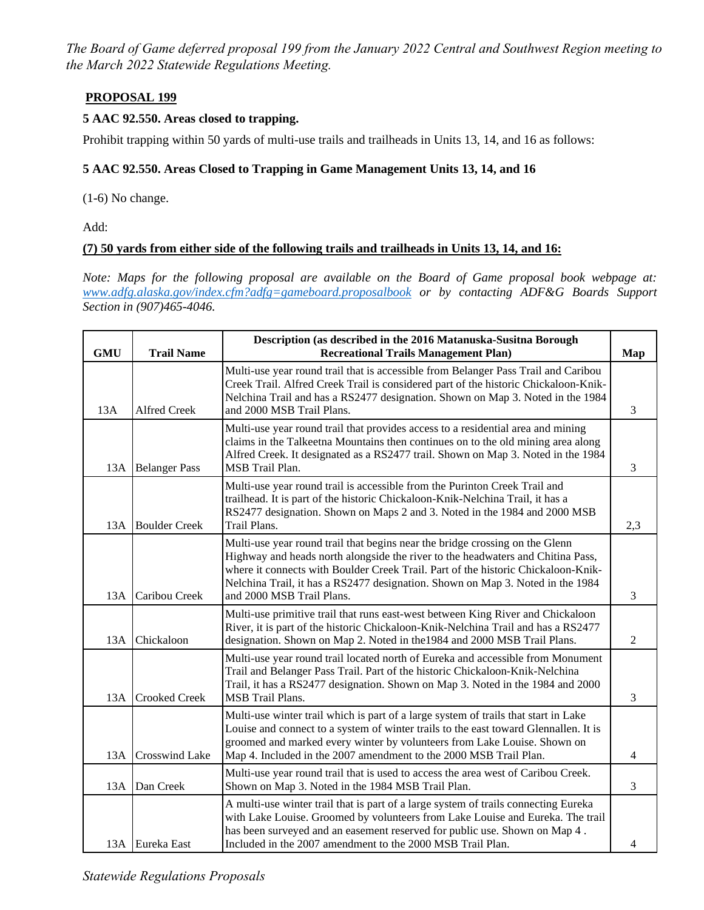*The Board of Game deferred proposal 199 from the January 2022 Central and Southwest Region meeting to the March 2022 Statewide Regulations Meeting.* 

# **PROPOSAL [199](#page-16-0)**

### **5 AAC 92.550. Areas closed to trapping.**

Prohibit trapping within 50 yards of multi-use trails and trailheads in Units 13, 14, and 16 as follows:

### **5 AAC 92.550. Areas Closed to Trapping in Game Management Units 13, 14, and 16**

(1-6) No change.

Add:

#### **(7) 50 yards from either side of the following trails and trailheads in Units 13, 14, and 16:**

*Note: Maps for the following proposal are available on the Board of Game proposal book webpage at: [www.adfg.alaska.gov/index.cfm?adfg=gameboard.proposalbook](http://www.adfg.alaska.gov/index.cfm?adfg=gameboard.proposalbook) or by contacting ADF&G Boards Support Section in (907)465-4046.* 

| <b>GMU</b> | <b>Trail Name</b>     | Description (as described in the 2016 Matanuska-Susitna Borough<br><b>Recreational Trails Management Plan)</b>                                                                                                                                                                                                                                                      | Map |
|------------|-----------------------|---------------------------------------------------------------------------------------------------------------------------------------------------------------------------------------------------------------------------------------------------------------------------------------------------------------------------------------------------------------------|-----|
| 13A        | <b>Alfred Creek</b>   | Multi-use year round trail that is accessible from Belanger Pass Trail and Caribou<br>Creek Trail. Alfred Creek Trail is considered part of the historic Chickaloon-Knik-<br>Nelchina Trail and has a RS2477 designation. Shown on Map 3. Noted in the 1984<br>and 2000 MSB Trail Plans.                                                                            | 3   |
| 13A        | <b>Belanger Pass</b>  | Multi-use year round trail that provides access to a residential area and mining<br>claims in the Talkeetna Mountains then continues on to the old mining area along<br>Alfred Creek. It designated as a RS2477 trail. Shown on Map 3. Noted in the 1984<br>MSB Trail Plan.                                                                                         | 3   |
| 13A        | <b>Boulder Creek</b>  | Multi-use year round trail is accessible from the Purinton Creek Trail and<br>trailhead. It is part of the historic Chickaloon-Knik-Nelchina Trail, it has a<br>RS2477 designation. Shown on Maps 2 and 3. Noted in the 1984 and 2000 MSB<br>Trail Plans.                                                                                                           | 2,3 |
| 13A        | Caribou Creek         | Multi-use year round trail that begins near the bridge crossing on the Glenn<br>Highway and heads north alongside the river to the headwaters and Chitina Pass,<br>where it connects with Boulder Creek Trail. Part of the historic Chickaloon-Knik-<br>Nelchina Trail, it has a RS2477 designation. Shown on Map 3. Noted in the 1984<br>and 2000 MSB Trail Plans. | 3   |
| 13A        | Chickaloon            | Multi-use primitive trail that runs east-west between King River and Chickaloon<br>River, it is part of the historic Chickaloon-Knik-Nelchina Trail and has a RS2477<br>designation. Shown on Map 2. Noted in the 1984 and 2000 MSB Trail Plans.                                                                                                                    | 2   |
| 13A        | <b>Crooked Creek</b>  | Multi-use year round trail located north of Eureka and accessible from Monument<br>Trail and Belanger Pass Trail. Part of the historic Chickaloon-Knik-Nelchina<br>Trail, it has a RS2477 designation. Shown on Map 3. Noted in the 1984 and 2000<br><b>MSB</b> Trail Plans.                                                                                        | 3   |
| 13A        | <b>Crosswind Lake</b> | Multi-use winter trail which is part of a large system of trails that start in Lake<br>Louise and connect to a system of winter trails to the east toward Glennallen. It is<br>groomed and marked every winter by volunteers from Lake Louise. Shown on<br>Map 4. Included in the 2007 amendment to the 2000 MSB Trail Plan.                                        | 4   |
| 13A        | Dan Creek             | Multi-use year round trail that is used to access the area west of Caribou Creek.<br>Shown on Map 3. Noted in the 1984 MSB Trail Plan.                                                                                                                                                                                                                              | 3   |
|            | 13A Eureka East       | A multi-use winter trail that is part of a large system of trails connecting Eureka<br>with Lake Louise. Groomed by volunteers from Lake Louise and Eureka. The trail<br>has been surveyed and an easement reserved for public use. Shown on Map 4.<br>Included in the 2007 amendment to the 2000 MSB Trail Plan.                                                   | 4   |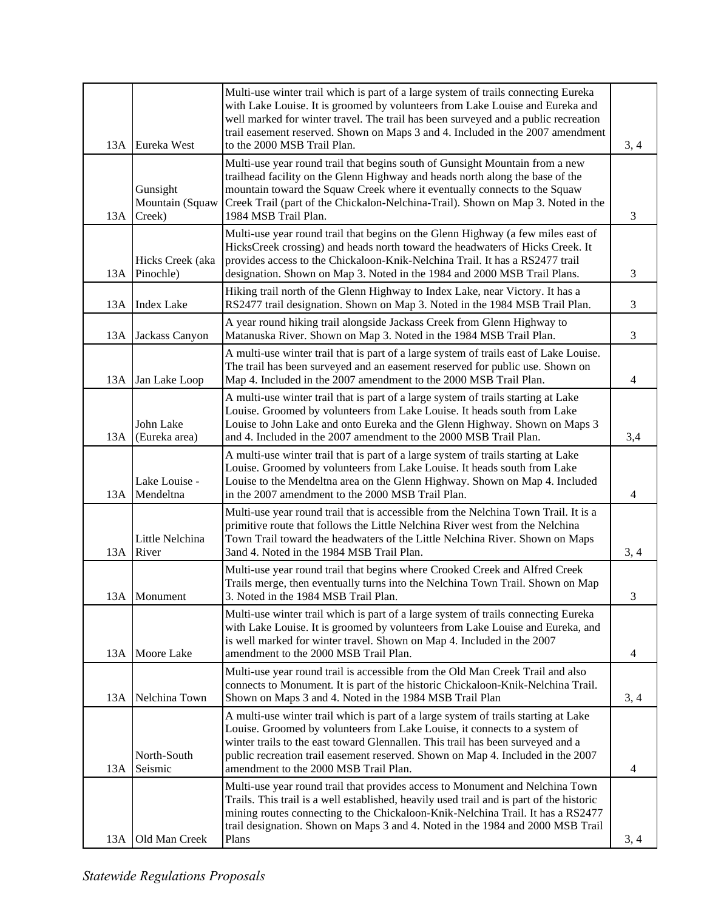| 13A | Eureka West                           | Multi-use winter trail which is part of a large system of trails connecting Eureka<br>with Lake Louise. It is groomed by volunteers from Lake Louise and Eureka and<br>well marked for winter travel. The trail has been surveyed and a public recreation<br>trail easement reserved. Shown on Maps 3 and 4. Included in the 2007 amendment<br>to the 2000 MSB Trail Plan.       | 3,4  |
|-----|---------------------------------------|----------------------------------------------------------------------------------------------------------------------------------------------------------------------------------------------------------------------------------------------------------------------------------------------------------------------------------------------------------------------------------|------|
| 13A | Gunsight<br>Mountain (Squaw<br>Creek) | Multi-use year round trail that begins south of Gunsight Mountain from a new<br>trailhead facility on the Glenn Highway and heads north along the base of the<br>mountain toward the Squaw Creek where it eventually connects to the Squaw<br>Creek Trail (part of the Chickalon-Nelchina-Trail). Shown on Map 3. Noted in the<br>1984 MSB Trail Plan.                           | 3    |
| 13A | Hicks Creek (aka<br>Pinochle)         | Multi-use year round trail that begins on the Glenn Highway (a few miles east of<br>HicksCreek crossing) and heads north toward the headwaters of Hicks Creek. It<br>provides access to the Chickaloon-Knik-Nelchina Trail. It has a RS2477 trail<br>designation. Shown on Map 3. Noted in the 1984 and 2000 MSB Trail Plans.                                                    | 3    |
| 13A | <b>Index Lake</b>                     | Hiking trail north of the Glenn Highway to Index Lake, near Victory. It has a<br>RS2477 trail designation. Shown on Map 3. Noted in the 1984 MSB Trail Plan.                                                                                                                                                                                                                     | 3    |
| 13A | Jackass Canyon                        | A year round hiking trail alongside Jackass Creek from Glenn Highway to<br>Matanuska River. Shown on Map 3. Noted in the 1984 MSB Trail Plan.                                                                                                                                                                                                                                    | 3    |
| 13A | Jan Lake Loop                         | A multi-use winter trail that is part of a large system of trails east of Lake Louise.<br>The trail has been surveyed and an easement reserved for public use. Shown on<br>Map 4. Included in the 2007 amendment to the 2000 MSB Trail Plan.                                                                                                                                     | 4    |
| 13A | John Lake<br>(Eureka area)            | A multi-use winter trail that is part of a large system of trails starting at Lake<br>Louise. Groomed by volunteers from Lake Louise. It heads south from Lake<br>Louise to John Lake and onto Eureka and the Glenn Highway. Shown on Maps 3<br>and 4. Included in the 2007 amendment to the 2000 MSB Trail Plan.                                                                | 3,4  |
| 13A | Lake Louise -<br>Mendeltna            | A multi-use winter trail that is part of a large system of trails starting at Lake<br>Louise. Groomed by volunteers from Lake Louise. It heads south from Lake<br>Louise to the Mendeltna area on the Glenn Highway. Shown on Map 4. Included<br>in the 2007 amendment to the 2000 MSB Trail Plan.                                                                               | 4    |
| 13A | Little Nelchina<br>River              | Multi-use year round trail that is accessible from the Nelchina Town Trail. It is a<br>primitive route that follows the Little Nelchina River west from the Nelchina<br>Town Trail toward the headwaters of the Little Nelchina River. Shown on Maps<br>3and 4. Noted in the 1984 MSB Trail Plan.                                                                                | 3, 4 |
|     | 13A Monument                          | Multi-use year round trail that begins where Crooked Creek and Alfred Creek<br>Trails merge, then eventually turns into the Nelchina Town Trail. Shown on Map<br>3. Noted in the 1984 MSB Trail Plan.                                                                                                                                                                            | 3    |
| 13A | Moore Lake                            | Multi-use winter trail which is part of a large system of trails connecting Eureka<br>with Lake Louise. It is groomed by volunteers from Lake Louise and Eureka, and<br>is well marked for winter travel. Shown on Map 4. Included in the 2007<br>amendment to the 2000 MSB Trail Plan.                                                                                          | 4    |
| 13A | Nelchina Town                         | Multi-use year round trail is accessible from the Old Man Creek Trail and also<br>connects to Monument. It is part of the historic Chickaloon-Knik-Nelchina Trail.<br>Shown on Maps 3 and 4. Noted in the 1984 MSB Trail Plan                                                                                                                                                    | 3, 4 |
| 13A | North-South<br>Seismic                | A multi-use winter trail which is part of a large system of trails starting at Lake<br>Louise. Groomed by volunteers from Lake Louise, it connects to a system of<br>winter trails to the east toward Glennallen. This trail has been surveyed and a<br>public recreation trail easement reserved. Shown on Map 4. Included in the 2007<br>amendment to the 2000 MSB Trail Plan. | 4    |
| 13A | Old Man Creek                         | Multi-use year round trail that provides access to Monument and Nelchina Town<br>Trails. This trail is a well established, heavily used trail and is part of the historic<br>mining routes connecting to the Chickaloon-Knik-Nelchina Trail. It has a RS2477<br>trail designation. Shown on Maps 3 and 4. Noted in the 1984 and 2000 MSB Trail<br>Plans                          | 3, 4 |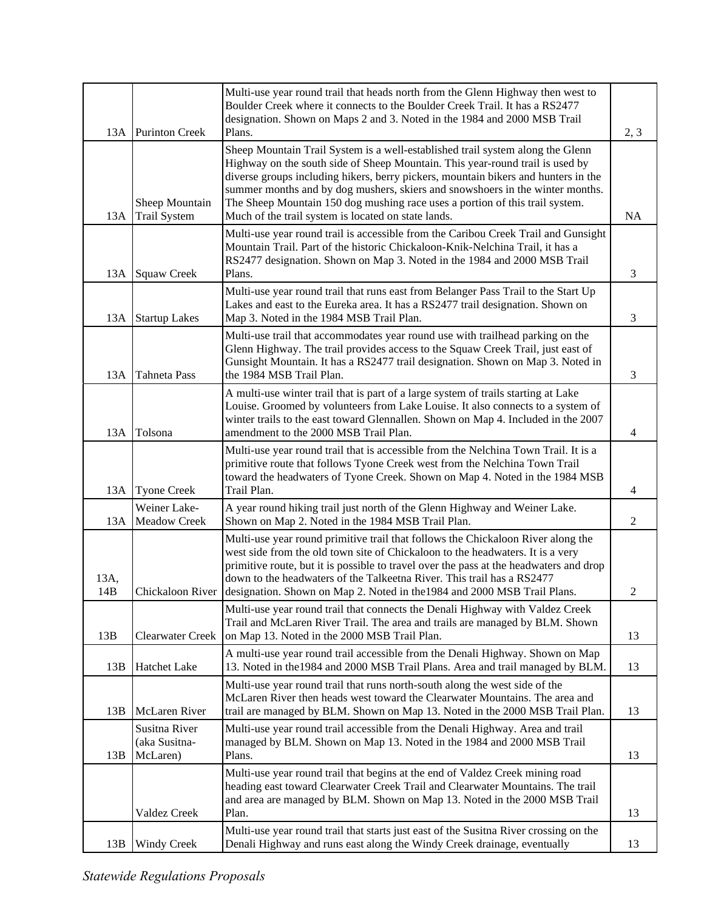|      |                       | Multi-use year round trail that heads north from the Glenn Highway then west to                                                                                       |           |
|------|-----------------------|-----------------------------------------------------------------------------------------------------------------------------------------------------------------------|-----------|
|      |                       | Boulder Creek where it connects to the Boulder Creek Trail. It has a RS2477                                                                                           |           |
|      |                       | designation. Shown on Maps 2 and 3. Noted in the 1984 and 2000 MSB Trail                                                                                              |           |
| 13A  | <b>Purinton Creek</b> | Plans.                                                                                                                                                                | 2, 3      |
|      |                       | Sheep Mountain Trail System is a well-established trail system along the Glenn                                                                                        |           |
|      |                       | Highway on the south side of Sheep Mountain. This year-round trail is used by                                                                                         |           |
|      |                       | diverse groups including hikers, berry pickers, mountain bikers and hunters in the<br>summer months and by dog mushers, skiers and snowshoers in the winter months.   |           |
|      | Sheep Mountain        | The Sheep Mountain 150 dog mushing race uses a portion of this trail system.                                                                                          |           |
| 13A  | <b>Trail System</b>   | Much of the trail system is located on state lands.                                                                                                                   | <b>NA</b> |
|      |                       | Multi-use year round trail is accessible from the Caribou Creek Trail and Gunsight                                                                                    |           |
|      |                       | Mountain Trail. Part of the historic Chickaloon-Knik-Nelchina Trail, it has a                                                                                         |           |
| 13A  |                       | RS2477 designation. Shown on Map 3. Noted in the 1984 and 2000 MSB Trail<br>Plans.                                                                                    | 3         |
|      | <b>Squaw Creek</b>    |                                                                                                                                                                       |           |
|      |                       | Multi-use year round trail that runs east from Belanger Pass Trail to the Start Up<br>Lakes and east to the Eureka area. It has a RS2477 trail designation. Shown on  |           |
| 13A  | <b>Startup Lakes</b>  | Map 3. Noted in the 1984 MSB Trail Plan.                                                                                                                              | 3         |
|      |                       | Multi-use trail that accommodates year round use with trailhead parking on the                                                                                        |           |
|      |                       | Glenn Highway. The trail provides access to the Squaw Creek Trail, just east of                                                                                       |           |
|      | <b>Tahneta Pass</b>   | Gunsight Mountain. It has a RS2477 trail designation. Shown on Map 3. Noted in<br>the 1984 MSB Trail Plan.                                                            |           |
| 13A  |                       |                                                                                                                                                                       | 3         |
|      |                       | A multi-use winter trail that is part of a large system of trails starting at Lake<br>Louise. Groomed by volunteers from Lake Louise. It also connects to a system of |           |
|      |                       | winter trails to the east toward Glennallen. Shown on Map 4. Included in the 2007                                                                                     |           |
| 13A  | Tolsona               | amendment to the 2000 MSB Trail Plan.                                                                                                                                 | 4         |
|      |                       | Multi-use year round trail that is accessible from the Nelchina Town Trail. It is a                                                                                   |           |
|      |                       | primitive route that follows Tyone Creek west from the Nelchina Town Trail                                                                                            |           |
| 13A  | <b>Tyone Creek</b>    | toward the headwaters of Tyone Creek. Shown on Map 4. Noted in the 1984 MSB<br>Trail Plan.                                                                            | 4         |
|      | Weiner Lake-          | A year round hiking trail just north of the Glenn Highway and Weiner Lake.                                                                                            |           |
| 13A  | Meadow Creek          | Shown on Map 2. Noted in the 1984 MSB Trail Plan.                                                                                                                     | 2         |
|      |                       | Multi-use year round primitive trail that follows the Chickaloon River along the                                                                                      |           |
|      |                       | west side from the old town site of Chickaloon to the headwaters. It is a very                                                                                        |           |
| 13A, |                       | primitive route, but it is possible to travel over the pass at the headwaters and drop<br>down to the headwaters of the Talkeetna River. This trail has a RS2477      |           |
| 14B  | Chickaloon River      | designation. Shown on Map 2. Noted in the 1984 and 2000 MSB Trail Plans.                                                                                              | 2         |
|      |                       | Multi-use year round trail that connects the Denali Highway with Valdez Creek                                                                                         |           |
|      |                       | Trail and McLaren River Trail. The area and trails are managed by BLM. Shown                                                                                          |           |
| 13B  | Clearwater Creek      | on Map 13. Noted in the 2000 MSB Trail Plan.                                                                                                                          | 13        |
|      |                       | A multi-use year round trail accessible from the Denali Highway. Shown on Map                                                                                         |           |
| 13B  | Hatchet Lake          | 13. Noted in the 1984 and 2000 MSB Trail Plans. Area and trail managed by BLM.                                                                                        | 13        |
|      |                       | Multi-use year round trail that runs north-south along the west side of the<br>McLaren River then heads west toward the Clearwater Mountains. The area and            |           |
| 13B  | McLaren River         | trail are managed by BLM. Shown on Map 13. Noted in the 2000 MSB Trail Plan.                                                                                          | 13        |
|      | Susitna River         | Multi-use year round trail accessible from the Denali Highway. Area and trail                                                                                         |           |
|      | (aka Susitna-         | managed by BLM. Shown on Map 13. Noted in the 1984 and 2000 MSB Trail                                                                                                 |           |
| 13B  | McLaren)              | Plans.                                                                                                                                                                | 13        |
|      |                       | Multi-use year round trail that begins at the end of Valdez Creek mining road                                                                                         |           |
|      |                       | heading east toward Clearwater Creek Trail and Clearwater Mountains. The trail<br>and area are managed by BLM. Shown on Map 13. Noted in the 2000 MSB Trail           |           |
|      | Valdez Creek          | Plan.                                                                                                                                                                 | 13        |
|      |                       | Multi-use year round trail that starts just east of the Susitna River crossing on the                                                                                 |           |
| 13B  | <b>Windy Creek</b>    | Denali Highway and runs east along the Windy Creek drainage, eventually                                                                                               | 13        |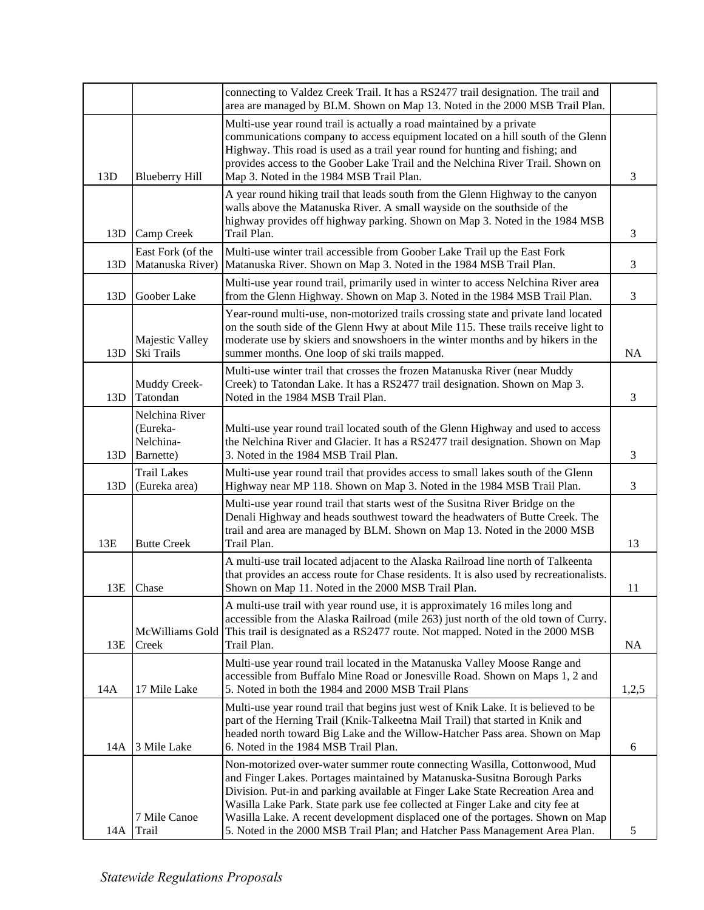|            |                                                      | connecting to Valdez Creek Trail. It has a RS2477 trail designation. The trail and<br>area are managed by BLM. Shown on Map 13. Noted in the 2000 MSB Trail Plan.                                                                                                                                                                                                                                                                                                                           |           |
|------------|------------------------------------------------------|---------------------------------------------------------------------------------------------------------------------------------------------------------------------------------------------------------------------------------------------------------------------------------------------------------------------------------------------------------------------------------------------------------------------------------------------------------------------------------------------|-----------|
| 13D        | <b>Blueberry Hill</b>                                | Multi-use year round trail is actually a road maintained by a private<br>communications company to access equipment located on a hill south of the Glenn<br>Highway. This road is used as a trail year round for hunting and fishing; and<br>provides access to the Goober Lake Trail and the Nelchina River Trail. Shown on<br>Map 3. Noted in the 1984 MSB Trail Plan.                                                                                                                    | 3         |
|            |                                                      | A year round hiking trail that leads south from the Glenn Highway to the canyon<br>walls above the Matanuska River. A small wayside on the southside of the<br>highway provides off highway parking. Shown on Map 3. Noted in the 1984 MSB                                                                                                                                                                                                                                                  |           |
| 13D<br>13D | Camp Creek<br>East Fork (of the<br>Matanuska River)  | Trail Plan.<br>Multi-use winter trail accessible from Goober Lake Trail up the East Fork<br>Matanuska River. Shown on Map 3. Noted in the 1984 MSB Trail Plan.                                                                                                                                                                                                                                                                                                                              | 3<br>3    |
| 13D        | Goober Lake                                          | Multi-use year round trail, primarily used in winter to access Nelchina River area<br>from the Glenn Highway. Shown on Map 3. Noted in the 1984 MSB Trail Plan.                                                                                                                                                                                                                                                                                                                             | 3         |
| 13D        | Majestic Valley<br>Ski Trails                        | Year-round multi-use, non-motorized trails crossing state and private land located<br>on the south side of the Glenn Hwy at about Mile 115. These trails receive light to<br>moderate use by skiers and snowshoers in the winter months and by hikers in the<br>summer months. One loop of ski trails mapped.                                                                                                                                                                               | <b>NA</b> |
| 13D        | Muddy Creek-<br>Tatondan                             | Multi-use winter trail that crosses the frozen Matanuska River (near Muddy<br>Creek) to Tatondan Lake. It has a RS2477 trail designation. Shown on Map 3.<br>Noted in the 1984 MSB Trail Plan.                                                                                                                                                                                                                                                                                              | 3         |
| 13D        | Nelchina River<br>(Eureka-<br>Nelchina-<br>Barnette) | Multi-use year round trail located south of the Glenn Highway and used to access<br>the Nelchina River and Glacier. It has a RS2477 trail designation. Shown on Map<br>3. Noted in the 1984 MSB Trail Plan.                                                                                                                                                                                                                                                                                 | 3         |
| 13D        | <b>Trail Lakes</b><br>(Eureka area)                  | Multi-use year round trail that provides access to small lakes south of the Glenn<br>Highway near MP 118. Shown on Map 3. Noted in the 1984 MSB Trail Plan.                                                                                                                                                                                                                                                                                                                                 | 3         |
| 13E        | <b>Butte Creek</b>                                   | Multi-use year round trail that starts west of the Susitna River Bridge on the<br>Denali Highway and heads southwest toward the headwaters of Butte Creek. The<br>trail and area are managed by BLM. Shown on Map 13. Noted in the 2000 MSB<br>Trail Plan.                                                                                                                                                                                                                                  | 13        |
| 13E        | Chase                                                | A multi-use trail located adjacent to the Alaska Railroad line north of Talkeenta<br>that provides an access route for Chase residents. It is also used by recreationalists.<br>Shown on Map 11. Noted in the 2000 MSB Trail Plan.                                                                                                                                                                                                                                                          | 11        |
| 13E        | McWilliams Gold<br>Creek                             | A multi-use trail with year round use, it is approximately 16 miles long and<br>accessible from the Alaska Railroad (mile 263) just north of the old town of Curry.<br>This trail is designated as a RS2477 route. Not mapped. Noted in the 2000 MSB<br>Trail Plan.                                                                                                                                                                                                                         | NA        |
| 14A        | 17 Mile Lake                                         | Multi-use year round trail located in the Matanuska Valley Moose Range and<br>accessible from Buffalo Mine Road or Jonesville Road. Shown on Maps 1, 2 and<br>5. Noted in both the 1984 and 2000 MSB Trail Plans                                                                                                                                                                                                                                                                            | 1,2,5     |
| 14A        | 3 Mile Lake                                          | Multi-use year round trail that begins just west of Knik Lake. It is believed to be<br>part of the Herning Trail (Knik-Talkeetna Mail Trail) that started in Knik and<br>headed north toward Big Lake and the Willow-Hatcher Pass area. Shown on Map<br>6. Noted in the 1984 MSB Trail Plan.                                                                                                                                                                                                | 6         |
| 14A        | 7 Mile Canoe<br>Trail                                | Non-motorized over-water summer route connecting Wasilla, Cottonwood, Mud<br>and Finger Lakes. Portages maintained by Matanuska-Susitna Borough Parks<br>Division. Put-in and parking available at Finger Lake State Recreation Area and<br>Wasilla Lake Park. State park use fee collected at Finger Lake and city fee at<br>Wasilla Lake. A recent development displaced one of the portages. Shown on Map<br>5. Noted in the 2000 MSB Trail Plan; and Hatcher Pass Management Area Plan. | 5         |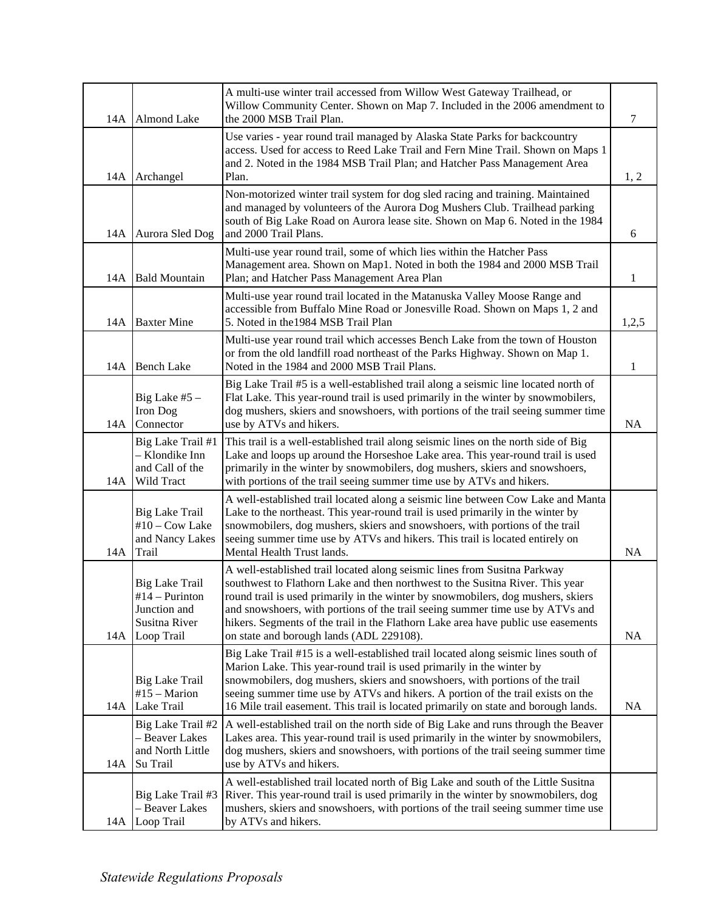| 14A | Almond Lake                                                                              | A multi-use winter trail accessed from Willow West Gateway Trailhead, or<br>Willow Community Center. Shown on Map 7. Included in the 2006 amendment to<br>the 2000 MSB Trail Plan.                                                                                                                                                                                                                                                                               | 7         |
|-----|------------------------------------------------------------------------------------------|------------------------------------------------------------------------------------------------------------------------------------------------------------------------------------------------------------------------------------------------------------------------------------------------------------------------------------------------------------------------------------------------------------------------------------------------------------------|-----------|
| 14A | Archangel                                                                                | Use varies - year round trail managed by Alaska State Parks for backcountry<br>access. Used for access to Reed Lake Trail and Fern Mine Trail. Shown on Maps 1<br>and 2. Noted in the 1984 MSB Trail Plan; and Hatcher Pass Management Area<br>Plan.                                                                                                                                                                                                             | 1, 2      |
| 14A | Aurora Sled Dog                                                                          | Non-motorized winter trail system for dog sled racing and training. Maintained<br>and managed by volunteers of the Aurora Dog Mushers Club. Trailhead parking<br>south of Big Lake Road on Aurora lease site. Shown on Map 6. Noted in the 1984<br>and 2000 Trail Plans.                                                                                                                                                                                         | 6         |
| 14A | <b>Bald Mountain</b>                                                                     | Multi-use year round trail, some of which lies within the Hatcher Pass<br>Management area. Shown on Map1. Noted in both the 1984 and 2000 MSB Trail<br>Plan; and Hatcher Pass Management Area Plan                                                                                                                                                                                                                                                               | 1         |
| 14A | <b>Baxter Mine</b>                                                                       | Multi-use year round trail located in the Matanuska Valley Moose Range and<br>accessible from Buffalo Mine Road or Jonesville Road. Shown on Maps 1, 2 and<br>5. Noted in the 1984 MSB Trail Plan                                                                                                                                                                                                                                                                | 1,2,5     |
| 14A | <b>Bench Lake</b>                                                                        | Multi-use year round trail which accesses Bench Lake from the town of Houston<br>or from the old landfill road northeast of the Parks Highway. Shown on Map 1.<br>Noted in the 1984 and 2000 MSB Trail Plans.                                                                                                                                                                                                                                                    | 1         |
| 14A | Big Lake $#5 -$<br>Iron Dog<br>Connector                                                 | Big Lake Trail #5 is a well-established trail along a seismic line located north of<br>Flat Lake. This year-round trail is used primarily in the winter by snowmobilers,<br>dog mushers, skiers and snowshoers, with portions of the trail seeing summer time<br>use by ATVs and hikers.                                                                                                                                                                         | <b>NA</b> |
| 14A | Big Lake Trail #1<br>– Klondike Inn<br>and Call of the<br>Wild Tract                     | This trail is a well-established trail along seismic lines on the north side of Big<br>Lake and loops up around the Horseshoe Lake area. This year-round trail is used<br>primarily in the winter by snowmobilers, dog mushers, skiers and snowshoers,<br>with portions of the trail seeing summer time use by ATVs and hikers.                                                                                                                                  |           |
| 14A | <b>Big Lake Trail</b><br>#10 - Cow Lake<br>and Nancy Lakes<br>Trail                      | A well-established trail located along a seismic line between Cow Lake and Manta<br>Lake to the northeast. This year-round trail is used primarily in the winter by<br>snowmobilers, dog mushers, skiers and snowshoers, with portions of the trail<br>seeing summer time use by ATVs and hikers. This trail is located entirely on<br>Mental Health Trust lands.                                                                                                | <b>NA</b> |
| 14A | <b>Big Lake Trail</b><br>$#14 -$ Purinton<br>Junction and<br>Susitna River<br>Loop Trail | A well-established trail located along seismic lines from Susitna Parkway<br>southwest to Flathorn Lake and then northwest to the Susitna River. This year<br>round trail is used primarily in the winter by snowmobilers, dog mushers, skiers<br>and snowshoers, with portions of the trail seeing summer time use by ATVs and<br>hikers. Segments of the trail in the Flathorn Lake area have public use easements<br>on state and borough lands (ADL 229108). | NA        |
| 14A | <b>Big Lake Trail</b><br>$#15 - Marion$<br>Lake Trail                                    | Big Lake Trail #15 is a well-established trail located along seismic lines south of<br>Marion Lake. This year-round trail is used primarily in the winter by<br>snowmobilers, dog mushers, skiers and snowshoers, with portions of the trail<br>seeing summer time use by ATVs and hikers. A portion of the trail exists on the<br>16 Mile trail easement. This trail is located primarily on state and borough lands.                                           | NA        |
| 14A | Big Lake Trail #2<br>- Beaver Lakes<br>and North Little<br>Su Trail                      | A well-established trail on the north side of Big Lake and runs through the Beaver<br>Lakes area. This year-round trail is used primarily in the winter by snowmobilers,<br>dog mushers, skiers and snowshoers, with portions of the trail seeing summer time<br>use by ATVs and hikers.                                                                                                                                                                         |           |
| 14A | Big Lake Trail #3<br>- Beaver Lakes<br>Loop Trail                                        | A well-established trail located north of Big Lake and south of the Little Susitna<br>River. This year-round trail is used primarily in the winter by snowmobilers, dog<br>mushers, skiers and snowshoers, with portions of the trail seeing summer time use<br>by ATVs and hikers.                                                                                                                                                                              |           |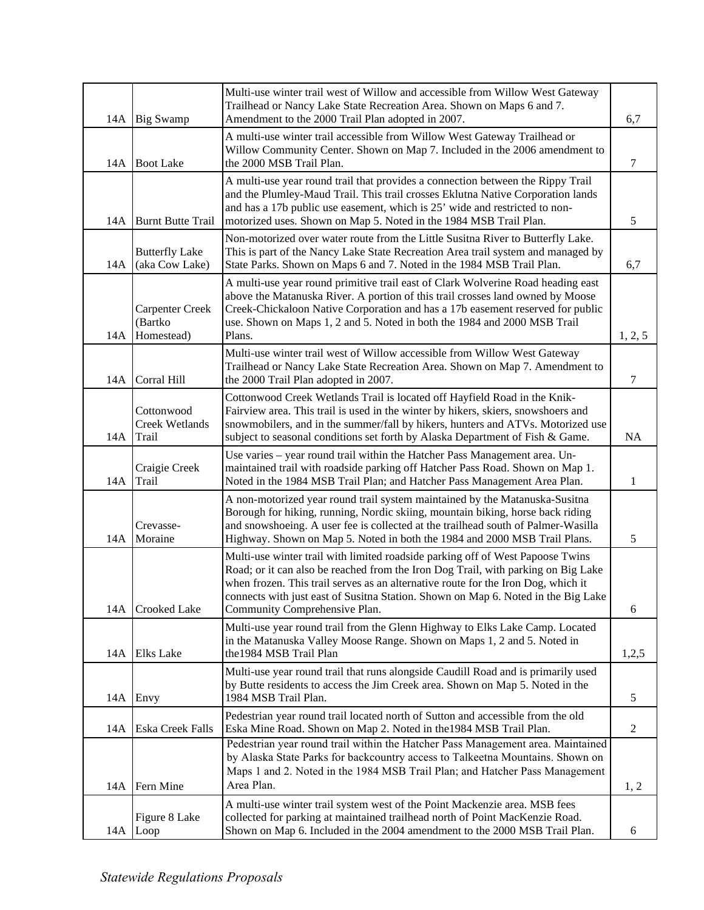| 14A | Big Swamp                                       | Multi-use winter trail west of Willow and accessible from Willow West Gateway<br>Trailhead or Nancy Lake State Recreation Area. Shown on Maps 6 and 7.<br>Amendment to the 2000 Trail Plan adopted in 2007.                                                                                                                                                                    | 6,7              |
|-----|-------------------------------------------------|--------------------------------------------------------------------------------------------------------------------------------------------------------------------------------------------------------------------------------------------------------------------------------------------------------------------------------------------------------------------------------|------------------|
| 14A | <b>Boot Lake</b>                                | A multi-use winter trail accessible from Willow West Gateway Trailhead or<br>Willow Community Center. Shown on Map 7. Included in the 2006 amendment to<br>the 2000 MSB Trail Plan.                                                                                                                                                                                            | 7                |
| 14A | <b>Burnt Butte Trail</b>                        | A multi-use year round trail that provides a connection between the Rippy Trail<br>and the Plumley-Maud Trail. This trail crosses Eklutna Native Corporation lands<br>and has a 17b public use easement, which is 25' wide and restricted to non-<br>motorized uses. Shown on Map 5. Noted in the 1984 MSB Trail Plan.                                                         | 5                |
| 14A | <b>Butterfly Lake</b><br>(aka Cow Lake)         | Non-motorized over water route from the Little Susitna River to Butterfly Lake.<br>This is part of the Nancy Lake State Recreation Area trail system and managed by<br>State Parks. Shown on Maps 6 and 7. Noted in the 1984 MSB Trail Plan.                                                                                                                                   | 6,7              |
| 14A | <b>Carpenter Creek</b><br>(Bartko<br>Homestead) | A multi-use year round primitive trail east of Clark Wolverine Road heading east<br>above the Matanuska River. A portion of this trail crosses land owned by Moose<br>Creek-Chickaloon Native Corporation and has a 17b easement reserved for public<br>use. Shown on Maps 1, 2 and 5. Noted in both the 1984 and 2000 MSB Trail<br>Plans.                                     | 1, 2, 5          |
| 14A | Corral Hill                                     | Multi-use winter trail west of Willow accessible from Willow West Gateway<br>Trailhead or Nancy Lake State Recreation Area. Shown on Map 7. Amendment to<br>the 2000 Trail Plan adopted in 2007.                                                                                                                                                                               | 7                |
| 14A | Cottonwood<br><b>Creek Wetlands</b><br>Trail    | Cottonwood Creek Wetlands Trail is located off Hayfield Road in the Knik-<br>Fairview area. This trail is used in the winter by hikers, skiers, snowshoers and<br>snowmobilers, and in the summer/fall by hikers, hunters and ATVs. Motorized use<br>subject to seasonal conditions set forth by Alaska Department of Fish & Game.                                             | <b>NA</b>        |
| 14A | Craigie Creek<br>Trail                          | Use varies - year round trail within the Hatcher Pass Management area. Un-<br>maintained trail with roadside parking off Hatcher Pass Road. Shown on Map 1.<br>Noted in the 1984 MSB Trail Plan; and Hatcher Pass Management Area Plan.                                                                                                                                        | 1                |
| 14A | Crevasse-<br>Moraine                            | A non-motorized year round trail system maintained by the Matanuska-Susitna<br>Borough for hiking, running, Nordic skiing, mountain biking, horse back riding<br>and snowshoeing. A user fee is collected at the trailhead south of Palmer-Wasilla<br>Highway. Shown on Map 5. Noted in both the 1984 and 2000 MSB Trail Plans.                                                | 5                |
| 14A | Crooked Lake                                    | Multi-use winter trail with limited roadside parking off of West Papoose Twins<br>Road; or it can also be reached from the Iron Dog Trail, with parking on Big Lake<br>when frozen. This trail serves as an alternative route for the Iron Dog, which it<br>connects with just east of Susitna Station. Shown on Map 6. Noted in the Big Lake<br>Community Comprehensive Plan. | 6                |
| 14A | <b>Elks Lake</b>                                | Multi-use year round trail from the Glenn Highway to Elks Lake Camp. Located<br>in the Matanuska Valley Moose Range. Shown on Maps 1, 2 and 5. Noted in<br>the 1984 MSB Trail Plan                                                                                                                                                                                             | 1,2,5            |
| 14A | Envy                                            | Multi-use year round trail that runs alongside Caudill Road and is primarily used<br>by Butte residents to access the Jim Creek area. Shown on Map 5. Noted in the<br>1984 MSB Trail Plan.                                                                                                                                                                                     | 5                |
| 14A | <b>Eska Creek Falls</b>                         | Pedestrian year round trail located north of Sutton and accessible from the old<br>Eska Mine Road. Shown on Map 2. Noted in the 1984 MSB Trail Plan.                                                                                                                                                                                                                           | $\boldsymbol{2}$ |
| 14A | Fern Mine                                       | Pedestrian year round trail within the Hatcher Pass Management area. Maintained<br>by Alaska State Parks for backcountry access to Talkeetna Mountains. Shown on<br>Maps 1 and 2. Noted in the 1984 MSB Trail Plan; and Hatcher Pass Management<br>Area Plan.                                                                                                                  | 1, 2             |
| 14A | Figure 8 Lake<br>Loop                           | A multi-use winter trail system west of the Point Mackenzie area. MSB fees<br>collected for parking at maintained trailhead north of Point MacKenzie Road.<br>Shown on Map 6. Included in the 2004 amendment to the 2000 MSB Trail Plan.                                                                                                                                       | 6                |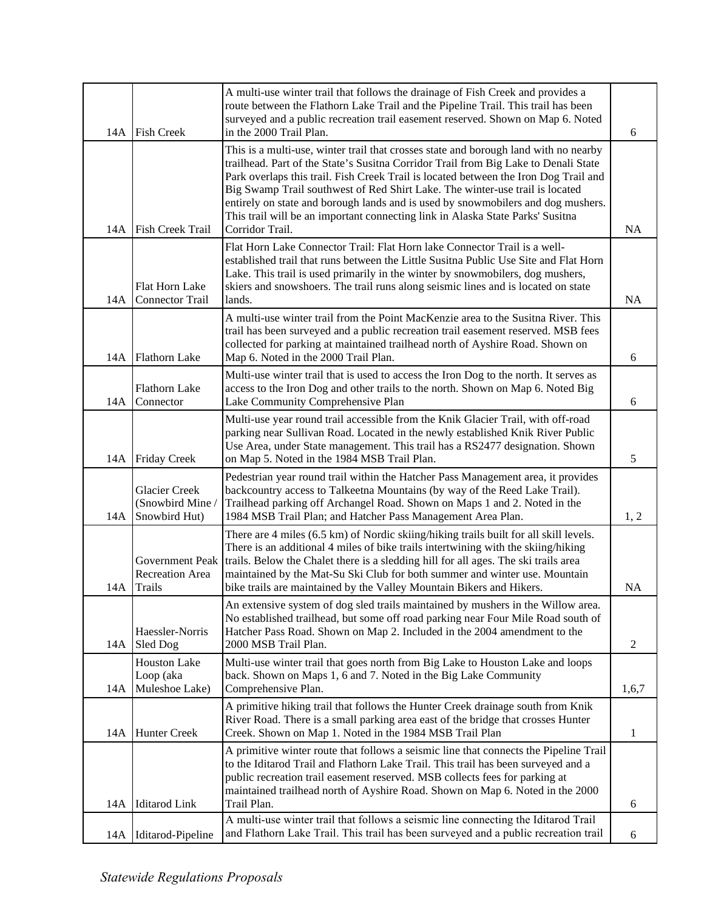|     |                                                          | A multi-use winter trail that follows the drainage of Fish Creek and provides a<br>route between the Flathorn Lake Trail and the Pipeline Trail. This trail has been<br>surveyed and a public recreation trail easement reserved. Shown on Map 6. Noted                                                                                                                                                                                 |           |
|-----|----------------------------------------------------------|-----------------------------------------------------------------------------------------------------------------------------------------------------------------------------------------------------------------------------------------------------------------------------------------------------------------------------------------------------------------------------------------------------------------------------------------|-----------|
| 14A | <b>Fish Creek</b>                                        | in the 2000 Trail Plan.                                                                                                                                                                                                                                                                                                                                                                                                                 | 6         |
|     |                                                          | This is a multi-use, winter trail that crosses state and borough land with no nearby<br>trailhead. Part of the State's Susitna Corridor Trail from Big Lake to Denali State<br>Park overlaps this trail. Fish Creek Trail is located between the Iron Dog Trail and<br>Big Swamp Trail southwest of Red Shirt Lake. The winter-use trail is located<br>entirely on state and borough lands and is used by snowmobilers and dog mushers. |           |
|     |                                                          | This trail will be an important connecting link in Alaska State Parks' Susitna                                                                                                                                                                                                                                                                                                                                                          |           |
| 14A | Fish Creek Trail                                         | Corridor Trail.                                                                                                                                                                                                                                                                                                                                                                                                                         | NΑ        |
| 14A | Flat Horn Lake<br><b>Connector Trail</b>                 | Flat Horn Lake Connector Trail: Flat Horn lake Connector Trail is a well-<br>established trail that runs between the Little Susitna Public Use Site and Flat Horn<br>Lake. This trail is used primarily in the winter by snowmobilers, dog mushers,<br>skiers and snowshoers. The trail runs along seismic lines and is located on state<br>lands.                                                                                      | <b>NA</b> |
| 14A | <b>Flathorn Lake</b>                                     | A multi-use winter trail from the Point MacKenzie area to the Susitna River. This<br>trail has been surveyed and a public recreation trail easement reserved. MSB fees<br>collected for parking at maintained trailhead north of Ayshire Road. Shown on<br>Map 6. Noted in the 2000 Trail Plan.                                                                                                                                         | 6         |
| 14A | <b>Flathorn Lake</b><br>Connector                        | Multi-use winter trail that is used to access the Iron Dog to the north. It serves as<br>access to the Iron Dog and other trails to the north. Shown on Map 6. Noted Big<br>Lake Community Comprehensive Plan                                                                                                                                                                                                                           | 6         |
| 14A | Friday Creek                                             | Multi-use year round trail accessible from the Knik Glacier Trail, with off-road<br>parking near Sullivan Road. Located in the newly established Knik River Public<br>Use Area, under State management. This trail has a RS2477 designation. Shown<br>on Map 5. Noted in the 1984 MSB Trail Plan.                                                                                                                                       | 5         |
| 14A | <b>Glacier Creek</b><br>(Snowbird Mine/<br>Snowbird Hut) | Pedestrian year round trail within the Hatcher Pass Management area, it provides<br>backcountry access to Talkeetna Mountains (by way of the Reed Lake Trail).<br>Trailhead parking off Archangel Road. Shown on Maps 1 and 2. Noted in the<br>1984 MSB Trail Plan; and Hatcher Pass Management Area Plan.                                                                                                                              | 1, 2      |
| 14A | Government Peak<br><b>Recreation Area</b><br>Trails      | There are 4 miles (6.5 km) of Nordic skiing/hiking trails built for all skill levels.<br>There is an additional 4 miles of bike trails intertwining with the skiing/hiking<br>trails. Below the Chalet there is a sledding hill for all ages. The ski trails area<br>maintained by the Mat-Su Ski Club for both summer and winter use. Mountain<br>bike trails are maintained by the Valley Mountain Bikers and Hikers.                 | NΑ        |
| 14A | Haessler-Norris<br>Sled Dog                              | An extensive system of dog sled trails maintained by mushers in the Willow area.<br>No established trailhead, but some off road parking near Four Mile Road south of<br>Hatcher Pass Road. Shown on Map 2. Included in the 2004 amendment to the<br>2000 MSB Trail Plan.                                                                                                                                                                | 2         |
| 14A | <b>Houston Lake</b><br>Loop (aka<br>Muleshoe Lake)       | Multi-use winter trail that goes north from Big Lake to Houston Lake and loops<br>back. Shown on Maps 1, 6 and 7. Noted in the Big Lake Community<br>Comprehensive Plan.                                                                                                                                                                                                                                                                | 1,6,7     |
| 14A | <b>Hunter Creek</b>                                      | A primitive hiking trail that follows the Hunter Creek drainage south from Knik<br>River Road. There is a small parking area east of the bridge that crosses Hunter<br>Creek. Shown on Map 1. Noted in the 1984 MSB Trail Plan                                                                                                                                                                                                          | 1         |
|     |                                                          | A primitive winter route that follows a seismic line that connects the Pipeline Trail<br>to the Iditarod Trail and Flathorn Lake Trail. This trail has been surveyed and a<br>public recreation trail easement reserved. MSB collects fees for parking at                                                                                                                                                                               |           |
|     |                                                          | maintained trailhead north of Ayshire Road. Shown on Map 6. Noted in the 2000                                                                                                                                                                                                                                                                                                                                                           |           |
| 14A | <b>Iditarod</b> Link                                     | Trail Plan.                                                                                                                                                                                                                                                                                                                                                                                                                             | 6         |
| 14A | Iditarod-Pipeline                                        | A multi-use winter trail that follows a seismic line connecting the Iditarod Trail<br>and Flathorn Lake Trail. This trail has been surveyed and a public recreation trail                                                                                                                                                                                                                                                               | 6         |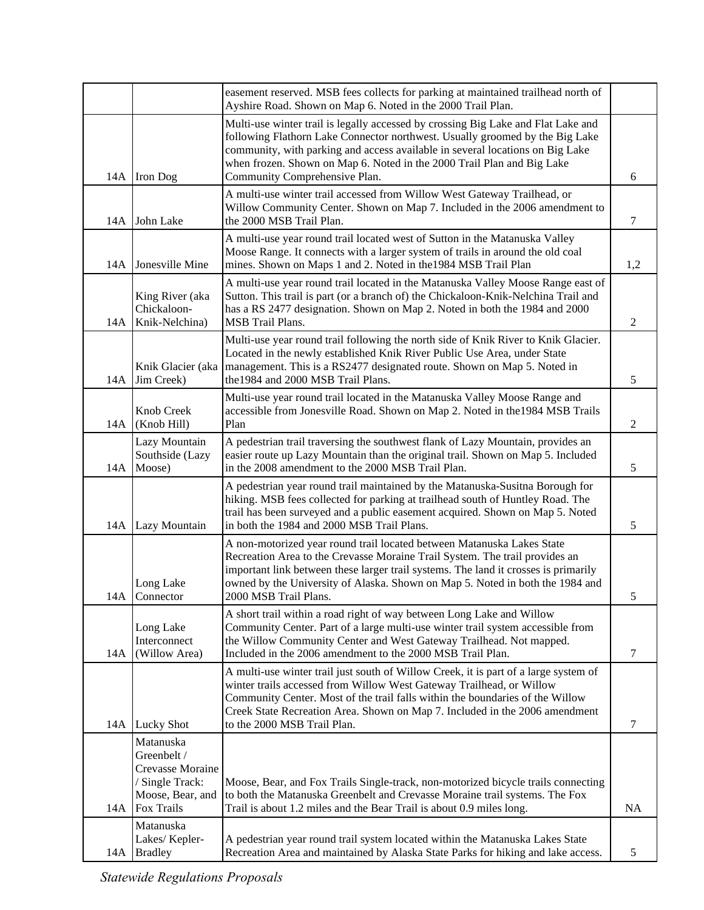|     |                                                                                                          | easement reserved. MSB fees collects for parking at maintained trailhead north of<br>Ayshire Road. Shown on Map 6. Noted in the 2000 Trail Plan.                                                                                                                                                                                                              |     |
|-----|----------------------------------------------------------------------------------------------------------|---------------------------------------------------------------------------------------------------------------------------------------------------------------------------------------------------------------------------------------------------------------------------------------------------------------------------------------------------------------|-----|
| 14A | Iron Dog                                                                                                 | Multi-use winter trail is legally accessed by crossing Big Lake and Flat Lake and<br>following Flathorn Lake Connector northwest. Usually groomed by the Big Lake<br>community, with parking and access available in several locations on Big Lake<br>when frozen. Shown on Map 6. Noted in the 2000 Trail Plan and Big Lake<br>Community Comprehensive Plan. | 6   |
| 14A | John Lake                                                                                                | A multi-use winter trail accessed from Willow West Gateway Trailhead, or<br>Willow Community Center. Shown on Map 7. Included in the 2006 amendment to<br>the 2000 MSB Trail Plan.                                                                                                                                                                            | 7   |
| 14A | Jonesville Mine                                                                                          | A multi-use year round trail located west of Sutton in the Matanuska Valley<br>Moose Range. It connects with a larger system of trails in around the old coal<br>mines. Shown on Maps 1 and 2. Noted in the 1984 MSB Trail Plan                                                                                                                               | 1,2 |
| 14A | King River (aka<br>Chickaloon-<br>Knik-Nelchina)                                                         | A multi-use year round trail located in the Matanuska Valley Moose Range east of<br>Sutton. This trail is part (or a branch of) the Chickaloon-Knik-Nelchina Trail and<br>has a RS 2477 designation. Shown on Map 2. Noted in both the 1984 and 2000<br>MSB Trail Plans.                                                                                      | 2   |
| 14A | Knik Glacier (aka<br>Jim Creek)                                                                          | Multi-use year round trail following the north side of Knik River to Knik Glacier.<br>Located in the newly established Knik River Public Use Area, under State<br>management. This is a RS2477 designated route. Shown on Map 5. Noted in<br>the 1984 and 2000 MSB Trail Plans.                                                                               | 5   |
| 14A | Knob Creek<br>(Knob Hill)                                                                                | Multi-use year round trail located in the Matanuska Valley Moose Range and<br>accessible from Jonesville Road. Shown on Map 2. Noted in the 1984 MSB Trails<br>Plan                                                                                                                                                                                           | 2   |
| 14A | Lazy Mountain<br>Southside (Lazy<br>Moose)                                                               | A pedestrian trail traversing the southwest flank of Lazy Mountain, provides an<br>easier route up Lazy Mountain than the original trail. Shown on Map 5. Included<br>in the 2008 amendment to the 2000 MSB Trail Plan.                                                                                                                                       | 5   |
| 14A | Lazy Mountain                                                                                            | A pedestrian year round trail maintained by the Matanuska-Susitna Borough for<br>hiking. MSB fees collected for parking at trailhead south of Huntley Road. The<br>trail has been surveyed and a public easement acquired. Shown on Map 5. Noted<br>in both the 1984 and 2000 MSB Trail Plans.                                                                | 5   |
|     | Long Lake<br>14A Connector                                                                               | A non-motorized year round trail located between Matanuska Lakes State<br>Recreation Area to the Crevasse Moraine Trail System. The trail provides an<br>important link between these larger trail systems. The land it crosses is primarily<br>owned by the University of Alaska. Shown on Map 5. Noted in both the 1984 and<br>2000 MSB Trail Plans.        | 5   |
| 14A | Long Lake<br>Interconnect<br>(Willow Area)                                                               | A short trail within a road right of way between Long Lake and Willow<br>Community Center. Part of a large multi-use winter trail system accessible from<br>the Willow Community Center and West Gateway Trailhead. Not mapped.<br>Included in the 2006 amendment to the 2000 MSB Trail Plan.                                                                 | 7   |
| 14A | Lucky Shot                                                                                               | A multi-use winter trail just south of Willow Creek, it is part of a large system of<br>winter trails accessed from Willow West Gateway Trailhead, or Willow<br>Community Center. Most of the trail falls within the boundaries of the Willow<br>Creek State Recreation Area. Shown on Map 7. Included in the 2006 amendment<br>to the 2000 MSB Trail Plan.   | 7   |
| 14A | Matanuska<br>Greenbelt /<br><b>Crevasse Moraine</b><br>/ Single Track:<br>Moose, Bear, and<br>Fox Trails | Moose, Bear, and Fox Trails Single-track, non-motorized bicycle trails connecting<br>to both the Matanuska Greenbelt and Crevasse Moraine trail systems. The Fox<br>Trail is about 1.2 miles and the Bear Trail is about 0.9 miles long.                                                                                                                      | NA  |
| 14A | Matanuska<br>Lakes/ Kepler-<br><b>Bradley</b>                                                            | A pedestrian year round trail system located within the Matanuska Lakes State<br>Recreation Area and maintained by Alaska State Parks for hiking and lake access.                                                                                                                                                                                             | 5   |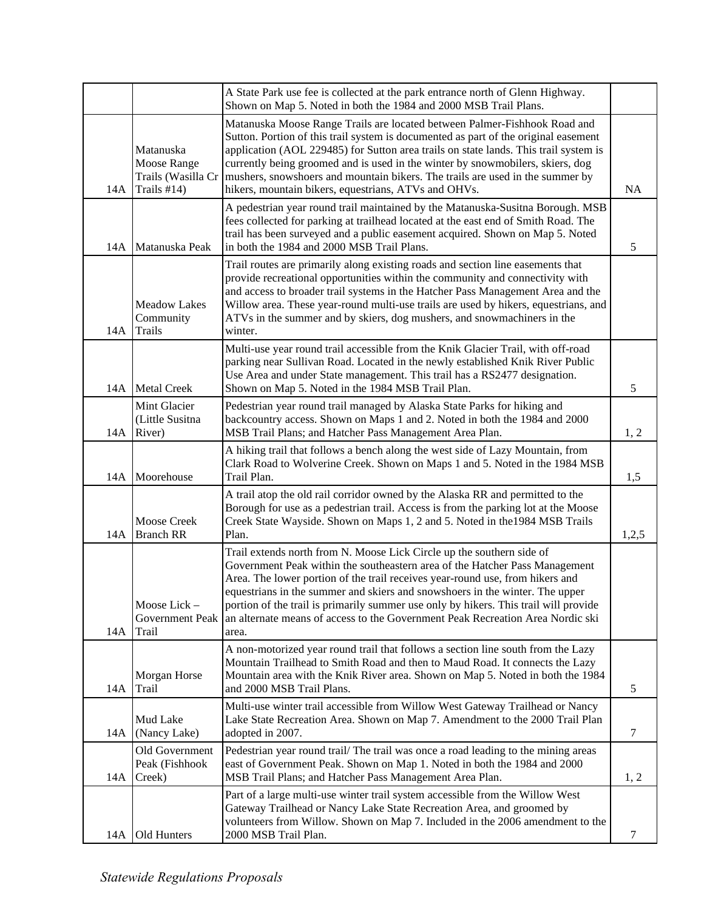|     |                                                                  | A State Park use fee is collected at the park entrance north of Glenn Highway.<br>Shown on Map 5. Noted in both the 1984 and 2000 MSB Trail Plans.                                                                                                                                                                                                                                                                                                                                                       |           |
|-----|------------------------------------------------------------------|----------------------------------------------------------------------------------------------------------------------------------------------------------------------------------------------------------------------------------------------------------------------------------------------------------------------------------------------------------------------------------------------------------------------------------------------------------------------------------------------------------|-----------|
| 14A | Matanuska<br>Moose Range<br>Trails (Wasilla Cr<br>Trails $#14$ ) | Matanuska Moose Range Trails are located between Palmer-Fishhook Road and<br>Sutton. Portion of this trail system is documented as part of the original easement<br>application (AOL 229485) for Sutton area trails on state lands. This trail system is<br>currently being groomed and is used in the winter by snowmobilers, skiers, dog<br>mushers, snowshoers and mountain bikers. The trails are used in the summer by<br>hikers, mountain bikers, equestrians, ATVs and OHVs.                      | <b>NA</b> |
| 14A | Matanuska Peak                                                   | A pedestrian year round trail maintained by the Matanuska-Susitna Borough. MSB<br>fees collected for parking at trailhead located at the east end of Smith Road. The<br>trail has been surveyed and a public easement acquired. Shown on Map 5. Noted<br>in both the 1984 and 2000 MSB Trail Plans.                                                                                                                                                                                                      | 5         |
| 14A | <b>Meadow Lakes</b><br>Community<br>Trails                       | Trail routes are primarily along existing roads and section line easements that<br>provide recreational opportunities within the community and connectivity with<br>and access to broader trail systems in the Hatcher Pass Management Area and the<br>Willow area. These year-round multi-use trails are used by hikers, equestrians, and<br>ATVs in the summer and by skiers, dog mushers, and snowmachiners in the<br>winter.                                                                         |           |
| 14A | <b>Metal Creek</b>                                               | Multi-use year round trail accessible from the Knik Glacier Trail, with off-road<br>parking near Sullivan Road. Located in the newly established Knik River Public<br>Use Area and under State management. This trail has a RS2477 designation.<br>Shown on Map 5. Noted in the 1984 MSB Trail Plan.                                                                                                                                                                                                     | 5         |
| 14A | Mint Glacier<br>(Little Susitna<br>River)                        | Pedestrian year round trail managed by Alaska State Parks for hiking and<br>backcountry access. Shown on Maps 1 and 2. Noted in both the 1984 and 2000<br>MSB Trail Plans; and Hatcher Pass Management Area Plan.                                                                                                                                                                                                                                                                                        | 1, 2      |
| 14A | Moorehouse                                                       | A hiking trail that follows a bench along the west side of Lazy Mountain, from<br>Clark Road to Wolverine Creek. Shown on Maps 1 and 5. Noted in the 1984 MSB<br>Trail Plan.                                                                                                                                                                                                                                                                                                                             | 1,5       |
| 14A | Moose Creek<br><b>Branch RR</b>                                  | A trail atop the old rail corridor owned by the Alaska RR and permitted to the<br>Borough for use as a pedestrian trail. Access is from the parking lot at the Moose<br>Creek State Wayside. Shown on Maps 1, 2 and 5. Noted in the 1984 MSB Trails<br>Plan.                                                                                                                                                                                                                                             | 1,2,5     |
| 14A | Moose Lick-<br>Government Peak<br>Trail                          | Trail extends north from N. Moose Lick Circle up the southern side of<br>Government Peak within the southeastern area of the Hatcher Pass Management<br>Area. The lower portion of the trail receives year-round use, from hikers and<br>equestrians in the summer and skiers and snowshoers in the winter. The upper<br>portion of the trail is primarily summer use only by hikers. This trail will provide<br>an alternate means of access to the Government Peak Recreation Area Nordic ski<br>area. |           |
| 14A | Morgan Horse<br>Trail                                            | A non-motorized year round trail that follows a section line south from the Lazy<br>Mountain Trailhead to Smith Road and then to Maud Road. It connects the Lazy<br>Mountain area with the Knik River area. Shown on Map 5. Noted in both the 1984<br>and 2000 MSB Trail Plans.                                                                                                                                                                                                                          | 5         |
| 14A | Mud Lake<br>(Nancy Lake)                                         | Multi-use winter trail accessible from Willow West Gateway Trailhead or Nancy<br>Lake State Recreation Area. Shown on Map 7. Amendment to the 2000 Trail Plan<br>adopted in 2007.                                                                                                                                                                                                                                                                                                                        | 7         |
| 14A | Old Government<br>Peak (Fishhook<br>Creek)                       | Pedestrian year round trail/ The trail was once a road leading to the mining areas<br>east of Government Peak. Shown on Map 1. Noted in both the 1984 and 2000<br>MSB Trail Plans; and Hatcher Pass Management Area Plan.                                                                                                                                                                                                                                                                                | 1, 2      |
| 14A | Old Hunters                                                      | Part of a large multi-use winter trail system accessible from the Willow West<br>Gateway Trailhead or Nancy Lake State Recreation Area, and groomed by<br>volunteers from Willow. Shown on Map 7. Included in the 2006 amendment to the<br>2000 MSB Trail Plan.                                                                                                                                                                                                                                          | 7         |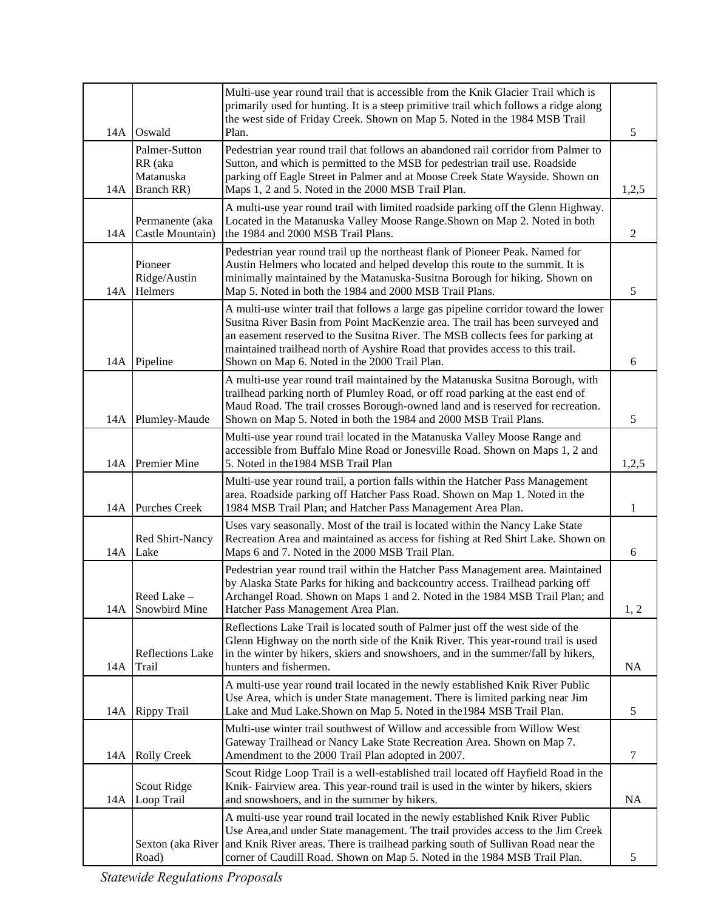|     |                                                     | Multi-use year round trail that is accessible from the Knik Glacier Trail which is<br>primarily used for hunting. It is a steep primitive trail which follows a ridge along<br>the west side of Friday Creek. Shown on Map 5. Noted in the 1984 MSB Trail                                                                                                                                    |           |
|-----|-----------------------------------------------------|----------------------------------------------------------------------------------------------------------------------------------------------------------------------------------------------------------------------------------------------------------------------------------------------------------------------------------------------------------------------------------------------|-----------|
| 14A | Oswald                                              | Plan.                                                                                                                                                                                                                                                                                                                                                                                        | 5         |
| 14A | Palmer-Sutton<br>RR (aka<br>Matanuska<br>Branch RR) | Pedestrian year round trail that follows an abandoned rail corridor from Palmer to<br>Sutton, and which is permitted to the MSB for pedestrian trail use. Roadside<br>parking off Eagle Street in Palmer and at Moose Creek State Wayside. Shown on<br>Maps 1, 2 and 5. Noted in the 2000 MSB Trail Plan.                                                                                    | 1,2,5     |
| 14A | Permanente (aka<br>Castle Mountain)                 | A multi-use year round trail with limited roadside parking off the Glenn Highway.<br>Located in the Matanuska Valley Moose Range. Shown on Map 2. Noted in both<br>the 1984 and 2000 MSB Trail Plans.                                                                                                                                                                                        | 2         |
| 14A | Pioneer<br>Ridge/Austin<br>Helmers                  | Pedestrian year round trail up the northeast flank of Pioneer Peak. Named for<br>Austin Helmers who located and helped develop this route to the summit. It is<br>minimally maintained by the Matanuska-Susitna Borough for hiking. Shown on<br>Map 5. Noted in both the 1984 and 2000 MSB Trail Plans.                                                                                      | 5         |
| 14A | Pipeline                                            | A multi-use winter trail that follows a large gas pipeline corridor toward the lower<br>Susitna River Basin from Point MacKenzie area. The trail has been surveyed and<br>an easement reserved to the Susitna River. The MSB collects fees for parking at<br>maintained trailhead north of Ayshire Road that provides access to this trail.<br>Shown on Map 6. Noted in the 2000 Trail Plan. | 6         |
| 14A | Plumley-Maude                                       | A multi-use year round trail maintained by the Matanuska Susitna Borough, with<br>trailhead parking north of Plumley Road, or off road parking at the east end of<br>Maud Road. The trail crosses Borough-owned land and is reserved for recreation.<br>Shown on Map 5. Noted in both the 1984 and 2000 MSB Trail Plans.                                                                     | 5         |
| 14A | Premier Mine                                        | Multi-use year round trail located in the Matanuska Valley Moose Range and<br>accessible from Buffalo Mine Road or Jonesville Road. Shown on Maps 1, 2 and<br>5. Noted in the 1984 MSB Trail Plan                                                                                                                                                                                            | 1,2,5     |
| 14A | <b>Purches Creek</b>                                | Multi-use year round trail, a portion falls within the Hatcher Pass Management<br>area. Roadside parking off Hatcher Pass Road. Shown on Map 1. Noted in the<br>1984 MSB Trail Plan; and Hatcher Pass Management Area Plan.                                                                                                                                                                  | 1         |
| 14A | Red Shirt-Nancy<br>Lake                             | Uses vary seasonally. Most of the trail is located within the Nancy Lake State<br>Recreation Area and maintained as access for fishing at Red Shirt Lake. Shown on<br>Maps 6 and 7. Noted in the 2000 MSB Trail Plan.                                                                                                                                                                        | 6         |
| 14A | Reed Lake –<br>Snowbird Mine                        | Pedestrian year round trail within the Hatcher Pass Management area. Maintained<br>by Alaska State Parks for hiking and backcountry access. Trailhead parking off<br>Archangel Road. Shown on Maps 1 and 2. Noted in the 1984 MSB Trail Plan; and<br>Hatcher Pass Management Area Plan.                                                                                                      | 1, 2      |
| 14A | <b>Reflections Lake</b><br>Trail                    | Reflections Lake Trail is located south of Palmer just off the west side of the<br>Glenn Highway on the north side of the Knik River. This year-round trail is used<br>in the winter by hikers, skiers and snowshoers, and in the summer/fall by hikers,<br>hunters and fishermen.                                                                                                           | <b>NA</b> |
| 14A | <b>Rippy Trail</b>                                  | A multi-use year round trail located in the newly established Knik River Public<br>Use Area, which is under State management. There is limited parking near Jim<br>Lake and Mud Lake. Shown on Map 5. Noted in the 1984 MSB Trail Plan.                                                                                                                                                      | 5         |
| 14A | <b>Rolly Creek</b>                                  | Multi-use winter trail southwest of Willow and accessible from Willow West<br>Gateway Trailhead or Nancy Lake State Recreation Area. Shown on Map 7.<br>Amendment to the 2000 Trail Plan adopted in 2007.                                                                                                                                                                                    | 7         |
| 14A | Scout Ridge<br>Loop Trail                           | Scout Ridge Loop Trail is a well-established trail located off Hayfield Road in the<br>Knik- Fairview area. This year-round trail is used in the winter by hikers, skiers<br>and snowshoers, and in the summer by hikers.                                                                                                                                                                    | NA        |
|     | Sexton (aka River<br>Road)                          | A multi-use year round trail located in the newly established Knik River Public<br>Use Area, and under State management. The trail provides access to the Jim Creek<br>and Knik River areas. There is trailhead parking south of Sullivan Road near the<br>corner of Caudill Road. Shown on Map 5. Noted in the 1984 MSB Trail Plan.                                                         | 5         |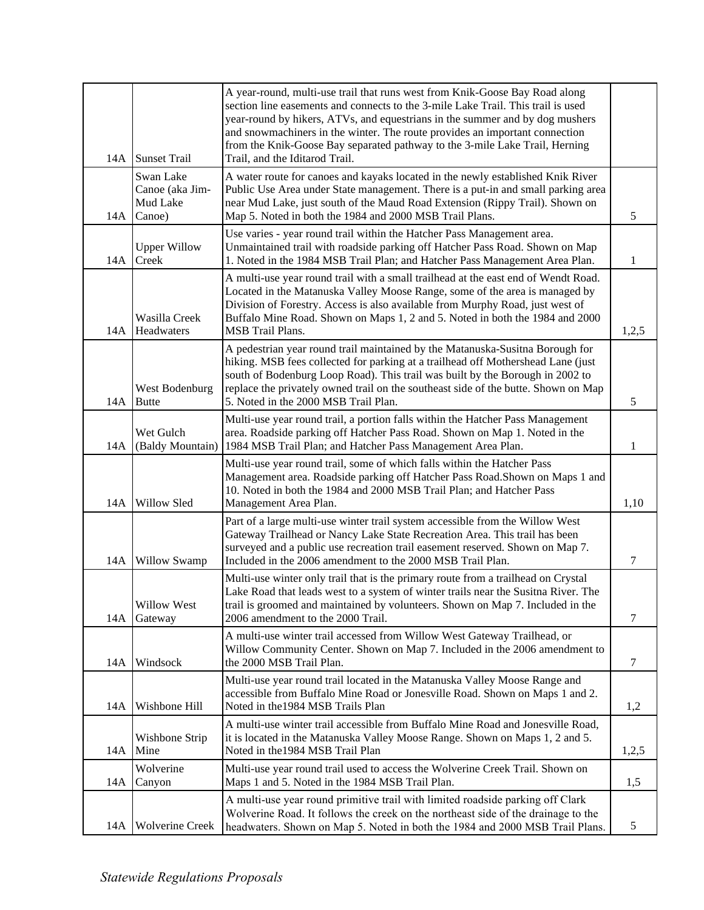| 14A | <b>Sunset Trail</b>                                | A year-round, multi-use trail that runs west from Knik-Goose Bay Road along<br>section line easements and connects to the 3-mile Lake Trail. This trail is used<br>year-round by hikers, ATVs, and equestrians in the summer and by dog mushers<br>and snowmachiners in the winter. The route provides an important connection<br>from the Knik-Goose Bay separated pathway to the 3-mile Lake Trail, Herning<br>Trail, and the Iditarod Trail. |       |
|-----|----------------------------------------------------|-------------------------------------------------------------------------------------------------------------------------------------------------------------------------------------------------------------------------------------------------------------------------------------------------------------------------------------------------------------------------------------------------------------------------------------------------|-------|
| 14A | Swan Lake<br>Canoe (aka Jim-<br>Mud Lake<br>Canoe) | A water route for canoes and kayaks located in the newly established Knik River<br>Public Use Area under State management. There is a put-in and small parking area<br>near Mud Lake, just south of the Maud Road Extension (Rippy Trail). Shown on<br>Map 5. Noted in both the 1984 and 2000 MSB Trail Plans.                                                                                                                                  | 5     |
| 14A | <b>Upper Willow</b><br>Creek                       | Use varies - year round trail within the Hatcher Pass Management area.<br>Unmaintained trail with roadside parking off Hatcher Pass Road. Shown on Map<br>1. Noted in the 1984 MSB Trail Plan; and Hatcher Pass Management Area Plan.                                                                                                                                                                                                           | 1     |
| 14A | Wasilla Creek<br>Headwaters                        | A multi-use year round trail with a small trailhead at the east end of Wendt Road.<br>Located in the Matanuska Valley Moose Range, some of the area is managed by<br>Division of Forestry. Access is also available from Murphy Road, just west of<br>Buffalo Mine Road. Shown on Maps 1, 2 and 5. Noted in both the 1984 and 2000<br><b>MSB</b> Trail Plans.                                                                                   | 1,2,5 |
| 14A | West Bodenburg<br><b>Butte</b>                     | A pedestrian year round trail maintained by the Matanuska-Susitna Borough for<br>hiking. MSB fees collected for parking at a trailhead off Mothershead Lane (just<br>south of Bodenburg Loop Road). This trail was built by the Borough in 2002 to<br>replace the privately owned trail on the southeast side of the butte. Shown on Map<br>5. Noted in the 2000 MSB Trail Plan.                                                                | 5     |
| 14A | Wet Gulch<br>(Baldy Mountain)                      | Multi-use year round trail, a portion falls within the Hatcher Pass Management<br>area. Roadside parking off Hatcher Pass Road. Shown on Map 1. Noted in the<br>1984 MSB Trail Plan; and Hatcher Pass Management Area Plan.                                                                                                                                                                                                                     | 1     |
| 14A | Willow Sled                                        | Multi-use year round trail, some of which falls within the Hatcher Pass<br>Management area. Roadside parking off Hatcher Pass Road. Shown on Maps 1 and<br>10. Noted in both the 1984 and 2000 MSB Trail Plan; and Hatcher Pass<br>Management Area Plan.                                                                                                                                                                                        | 1,10  |
| 14A | Willow Swamp                                       | Part of a large multi-use winter trail system accessible from the Willow West<br>Gateway Trailhead or Nancy Lake State Recreation Area. This trail has been<br>surveyed and a public use recreation trail easement reserved. Shown on Map 7.<br>Included in the 2006 amendment to the 2000 MSB Trail Plan.                                                                                                                                      | 7     |
| 14A | Willow West<br>Gateway                             | Multi-use winter only trail that is the primary route from a trailhead on Crystal<br>Lake Road that leads west to a system of winter trails near the Susitna River. The<br>trail is groomed and maintained by volunteers. Shown on Map 7. Included in the<br>2006 amendment to the 2000 Trail.                                                                                                                                                  | 7     |
| 14A | Windsock                                           | A multi-use winter trail accessed from Willow West Gateway Trailhead, or<br>Willow Community Center. Shown on Map 7. Included in the 2006 amendment to<br>the 2000 MSB Trail Plan.                                                                                                                                                                                                                                                              | 7     |
| 14A | Wishbone Hill                                      | Multi-use year round trail located in the Matanuska Valley Moose Range and<br>accessible from Buffalo Mine Road or Jonesville Road. Shown on Maps 1 and 2.<br>Noted in the 1984 MSB Trails Plan                                                                                                                                                                                                                                                 | 1,2   |
| 14A | Wishbone Strip<br>Mine                             | A multi-use winter trail accessible from Buffalo Mine Road and Jonesville Road,<br>it is located in the Matanuska Valley Moose Range. Shown on Maps 1, 2 and 5.<br>Noted in the 1984 MSB Trail Plan                                                                                                                                                                                                                                             | 1,2,5 |
| 14A | Wolverine<br>Canyon                                | Multi-use year round trail used to access the Wolverine Creek Trail. Shown on<br>Maps 1 and 5. Noted in the 1984 MSB Trail Plan.                                                                                                                                                                                                                                                                                                                | 1,5   |
| 14A | <b>Wolverine Creek</b>                             | A multi-use year round primitive trail with limited roadside parking off Clark<br>Wolverine Road. It follows the creek on the northeast side of the drainage to the<br>headwaters. Shown on Map 5. Noted in both the 1984 and 2000 MSB Trail Plans.                                                                                                                                                                                             | 5     |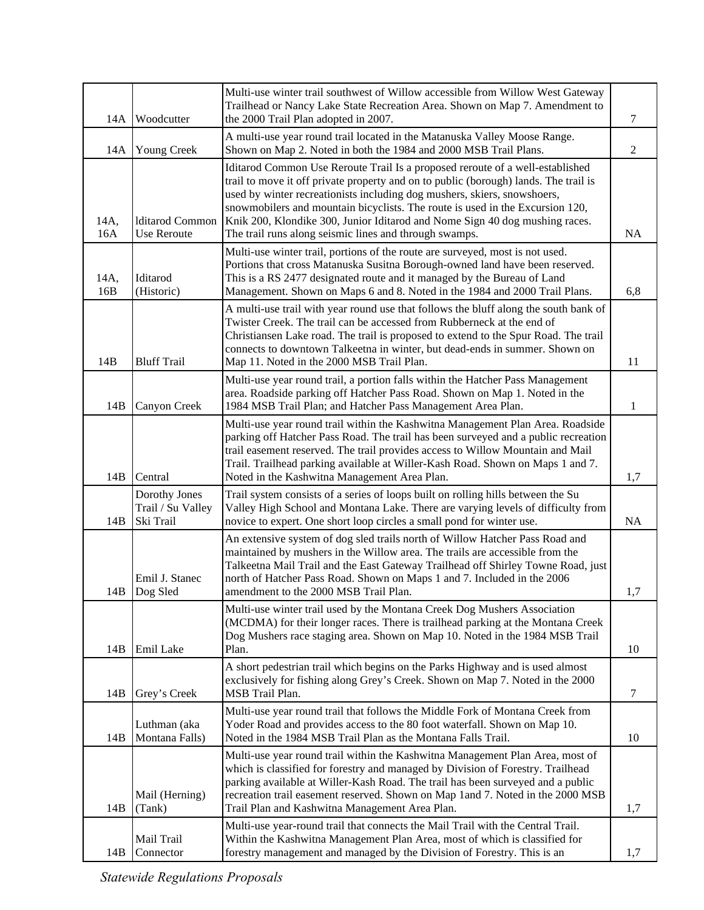| 14A         | Woodcutter                                      | Multi-use winter trail southwest of Willow accessible from Willow West Gateway<br>Trailhead or Nancy Lake State Recreation Area. Shown on Map 7. Amendment to<br>the 2000 Trail Plan adopted in 2007.                                                                                                                                                                                                                                                                       | 7         |
|-------------|-------------------------------------------------|-----------------------------------------------------------------------------------------------------------------------------------------------------------------------------------------------------------------------------------------------------------------------------------------------------------------------------------------------------------------------------------------------------------------------------------------------------------------------------|-----------|
| 14A         | <b>Young Creek</b>                              | A multi-use year round trail located in the Matanuska Valley Moose Range.<br>Shown on Map 2. Noted in both the 1984 and 2000 MSB Trail Plans.                                                                                                                                                                                                                                                                                                                               | 2         |
| 14A,<br>16A | Iditarod Common<br><b>Use Reroute</b>           | Iditarod Common Use Reroute Trail Is a proposed reroute of a well-established<br>trail to move it off private property and on to public (borough) lands. The trail is<br>used by winter recreationists including dog mushers, skiers, snowshoers,<br>snowmobilers and mountain bicyclists. The route is used in the Excursion 120,<br>Knik 200, Klondike 300, Junior Iditarod and Nome Sign 40 dog mushing races.<br>The trail runs along seismic lines and through swamps. | <b>NA</b> |
| 14A,<br>16B | Iditarod<br>(Historic)                          | Multi-use winter trail, portions of the route are surveyed, most is not used.<br>Portions that cross Matanuska Susitna Borough-owned land have been reserved.<br>This is a RS 2477 designated route and it managed by the Bureau of Land<br>Management. Shown on Maps 6 and 8. Noted in the 1984 and 2000 Trail Plans.                                                                                                                                                      | 6,8       |
| 14B         | <b>Bluff Trail</b>                              | A multi-use trail with year round use that follows the bluff along the south bank of<br>Twister Creek. The trail can be accessed from Rubberneck at the end of<br>Christiansen Lake road. The trail is proposed to extend to the Spur Road. The trail<br>connects to downtown Talkeetna in winter, but dead-ends in summer. Shown on<br>Map 11. Noted in the 2000 MSB Trail Plan.                                                                                           | 11        |
| 14B         | Canyon Creek                                    | Multi-use year round trail, a portion falls within the Hatcher Pass Management<br>area. Roadside parking off Hatcher Pass Road. Shown on Map 1. Noted in the<br>1984 MSB Trail Plan; and Hatcher Pass Management Area Plan.                                                                                                                                                                                                                                                 | 1         |
| 14B         | Central                                         | Multi-use year round trail within the Kashwitna Management Plan Area. Roadside<br>parking off Hatcher Pass Road. The trail has been surveyed and a public recreation<br>trail easement reserved. The trail provides access to Willow Mountain and Mail<br>Trail. Trailhead parking available at Willer-Kash Road. Shown on Maps 1 and 7.<br>Noted in the Kashwitna Management Area Plan.                                                                                    | 1,7       |
| 14B         | Dorothy Jones<br>Trail / Su Valley<br>Ski Trail | Trail system consists of a series of loops built on rolling hills between the Su<br>Valley High School and Montana Lake. There are varying levels of difficulty from<br>novice to expert. One short loop circles a small pond for winter use.                                                                                                                                                                                                                               | <b>NA</b> |
| 14B         | Emil J. Stanec<br>Dog Sled                      | An extensive system of dog sled trails north of Willow Hatcher Pass Road and<br>maintained by mushers in the Willow area. The trails are accessible from the<br>Talkeetna Mail Trail and the East Gateway Trailhead off Shirley Towne Road, just<br>north of Hatcher Pass Road. Shown on Maps 1 and 7. Included in the 2006<br>amendment to the 2000 MSB Trail Plan.                                                                                                        | 1,7       |
| 14B         | Emil Lake                                       | Multi-use winter trail used by the Montana Creek Dog Mushers Association<br>(MCDMA) for their longer races. There is trailhead parking at the Montana Creek<br>Dog Mushers race staging area. Shown on Map 10. Noted in the 1984 MSB Trail<br>Plan.                                                                                                                                                                                                                         | 10        |
| 14B         | Grey's Creek                                    | A short pedestrian trail which begins on the Parks Highway and is used almost<br>exclusively for fishing along Grey's Creek. Shown on Map 7. Noted in the 2000<br>MSB Trail Plan.                                                                                                                                                                                                                                                                                           | 7         |
| 14B         | Luthman (aka<br>Montana Falls)                  | Multi-use year round trail that follows the Middle Fork of Montana Creek from<br>Yoder Road and provides access to the 80 foot waterfall. Shown on Map 10.<br>Noted in the 1984 MSB Trail Plan as the Montana Falls Trail.                                                                                                                                                                                                                                                  | 10        |
| 14B         | Mail (Herning)<br>(Tank)                        | Multi-use year round trail within the Kashwitna Management Plan Area, most of<br>which is classified for forestry and managed by Division of Forestry. Trailhead<br>parking available at Willer-Kash Road. The trail has been surveyed and a public<br>recreation trail easement reserved. Shown on Map 1and 7. Noted in the 2000 MSB<br>Trail Plan and Kashwitna Management Area Plan.                                                                                     | 1,7       |
| 14B         | Mail Trail<br>Connector                         | Multi-use year-round trail that connects the Mail Trail with the Central Trail.<br>Within the Kashwitna Management Plan Area, most of which is classified for<br>forestry management and managed by the Division of Forestry. This is an                                                                                                                                                                                                                                    | 1,7       |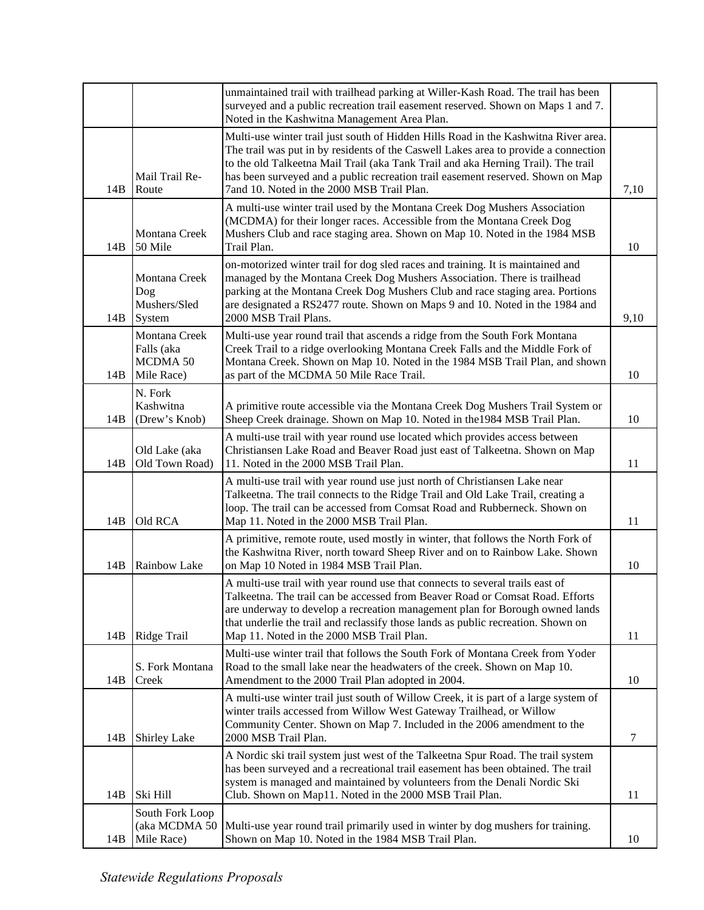|     |                                                       | unmaintained trail with trailhead parking at Willer-Kash Road. The trail has been<br>surveyed and a public recreation trail easement reserved. Shown on Maps 1 and 7.<br>Noted in the Kashwitna Management Area Plan.                                                                                                                                                                            |      |
|-----|-------------------------------------------------------|--------------------------------------------------------------------------------------------------------------------------------------------------------------------------------------------------------------------------------------------------------------------------------------------------------------------------------------------------------------------------------------------------|------|
| 14B | Mail Trail Re-<br>Route                               | Multi-use winter trail just south of Hidden Hills Road in the Kashwitna River area.<br>The trail was put in by residents of the Caswell Lakes area to provide a connection<br>to the old Talkeetna Mail Trail (aka Tank Trail and aka Herning Trail). The trail<br>has been surveyed and a public recreation trail easement reserved. Shown on Map<br>7and 10. Noted in the 2000 MSB Trail Plan. | 7,10 |
| 14B | Montana Creek<br>50 Mile                              | A multi-use winter trail used by the Montana Creek Dog Mushers Association<br>(MCDMA) for their longer races. Accessible from the Montana Creek Dog<br>Mushers Club and race staging area. Shown on Map 10. Noted in the 1984 MSB<br>Trail Plan.                                                                                                                                                 | 10   |
| 14B | Montana Creek<br>Dog<br>Mushers/Sled<br>System        | on-motorized winter trail for dog sled races and training. It is maintained and<br>managed by the Montana Creek Dog Mushers Association. There is trailhead<br>parking at the Montana Creek Dog Mushers Club and race staging area. Portions<br>are designated a RS2477 route. Shown on Maps 9 and 10. Noted in the 1984 and<br>2000 MSB Trail Plans.                                            | 9,10 |
| 14B | Montana Creek<br>Falls (aka<br>MCDMA 50<br>Mile Race) | Multi-use year round trail that ascends a ridge from the South Fork Montana<br>Creek Trail to a ridge overlooking Montana Creek Falls and the Middle Fork of<br>Montana Creek. Shown on Map 10. Noted in the 1984 MSB Trail Plan, and shown<br>as part of the MCDMA 50 Mile Race Trail.                                                                                                          | 10   |
| 14B | N. Fork<br>Kashwitna<br>(Drew's Knob)                 | A primitive route accessible via the Montana Creek Dog Mushers Trail System or<br>Sheep Creek drainage. Shown on Map 10. Noted in the 1984 MSB Trail Plan.                                                                                                                                                                                                                                       | 10   |
| 14B | Old Lake (aka<br>Old Town Road)                       | A multi-use trail with year round use located which provides access between<br>Christiansen Lake Road and Beaver Road just east of Talkeetna. Shown on Map<br>11. Noted in the 2000 MSB Trail Plan.                                                                                                                                                                                              | 11   |
| 14B | Old RCA                                               | A multi-use trail with year round use just north of Christiansen Lake near<br>Talkeetna. The trail connects to the Ridge Trail and Old Lake Trail, creating a<br>loop. The trail can be accessed from Comsat Road and Rubberneck. Shown on<br>Map 11. Noted in the 2000 MSB Trail Plan.                                                                                                          | 11   |
| 14B | Rainbow Lake                                          | A primitive, remote route, used mostly in winter, that follows the North Fork of<br>the Kashwitna River, north toward Sheep River and on to Rainbow Lake. Shown<br>on Map 10 Noted in 1984 MSB Trail Plan.                                                                                                                                                                                       | 10   |
| 14B | Ridge Trail                                           | A multi-use trail with year round use that connects to several trails east of<br>Talkeetna. The trail can be accessed from Beaver Road or Comsat Road. Efforts<br>are underway to develop a recreation management plan for Borough owned lands<br>that underlie the trail and reclassify those lands as public recreation. Shown on<br>Map 11. Noted in the 2000 MSB Trail Plan.                 | 11   |
| 14B | S. Fork Montana<br>Creek                              | Multi-use winter trail that follows the South Fork of Montana Creek from Yoder<br>Road to the small lake near the headwaters of the creek. Shown on Map 10.<br>Amendment to the 2000 Trail Plan adopted in 2004.                                                                                                                                                                                 | 10   |
| 14B | <b>Shirley Lake</b>                                   | A multi-use winter trail just south of Willow Creek, it is part of a large system of<br>winter trails accessed from Willow West Gateway Trailhead, or Willow<br>Community Center. Shown on Map 7. Included in the 2006 amendment to the<br>2000 MSB Trail Plan.                                                                                                                                  | 7    |
| 14B | Ski Hill                                              | A Nordic ski trail system just west of the Talkeetna Spur Road. The trail system<br>has been surveyed and a recreational trail easement has been obtained. The trail<br>system is managed and maintained by volunteers from the Denali Nordic Ski<br>Club. Shown on Map11. Noted in the 2000 MSB Trail Plan.                                                                                     | 11   |
| 14B | South Fork Loop<br>(aka MCDMA 50<br>Mile Race)        | Multi-use year round trail primarily used in winter by dog mushers for training.<br>Shown on Map 10. Noted in the 1984 MSB Trail Plan.                                                                                                                                                                                                                                                           | 10   |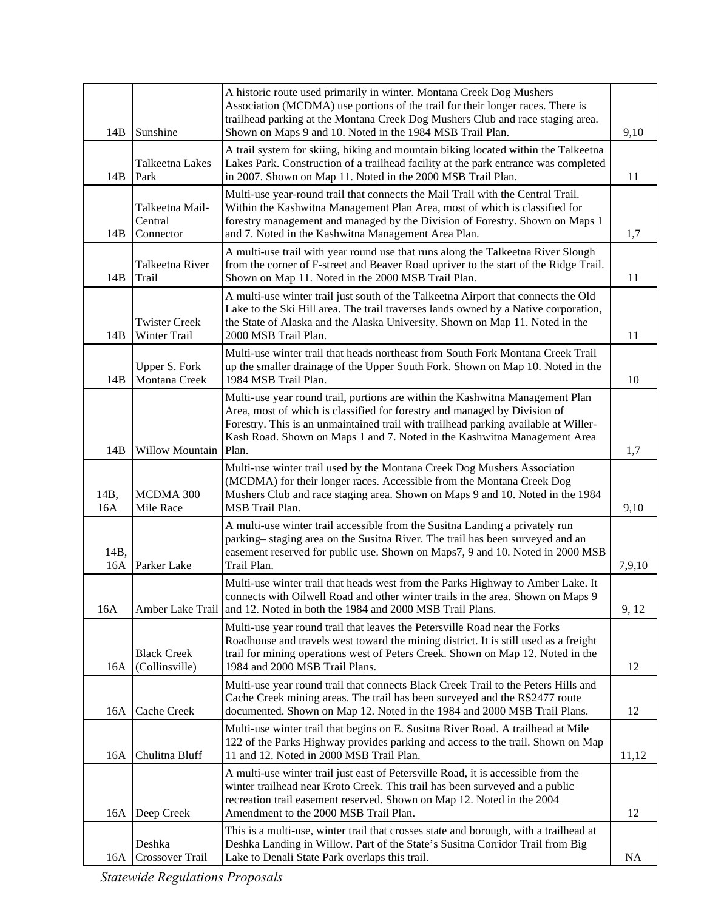| 14B         | Sunshine                                | A historic route used primarily in winter. Montana Creek Dog Mushers<br>Association (MCDMA) use portions of the trail for their longer races. There is<br>trailhead parking at the Montana Creek Dog Mushers Club and race staging area.<br>Shown on Maps 9 and 10. Noted in the 1984 MSB Trail Plan.                                  | 9,10      |
|-------------|-----------------------------------------|----------------------------------------------------------------------------------------------------------------------------------------------------------------------------------------------------------------------------------------------------------------------------------------------------------------------------------------|-----------|
| 14B         | Talkeetna Lakes<br>Park                 | A trail system for skiing, hiking and mountain biking located within the Talkeetna<br>Lakes Park. Construction of a trailhead facility at the park entrance was completed<br>in 2007. Shown on Map 11. Noted in the 2000 MSB Trail Plan.                                                                                               | 11        |
| 14B         | Talkeetna Mail-<br>Central<br>Connector | Multi-use year-round trail that connects the Mail Trail with the Central Trail.<br>Within the Kashwitna Management Plan Area, most of which is classified for<br>forestry management and managed by the Division of Forestry. Shown on Maps 1<br>and 7. Noted in the Kashwitna Management Area Plan.                                   | 1,7       |
| 14B         | Talkeetna River<br>Trail                | A multi-use trail with year round use that runs along the Talkeetna River Slough<br>from the corner of F-street and Beaver Road upriver to the start of the Ridge Trail.<br>Shown on Map 11. Noted in the 2000 MSB Trail Plan.                                                                                                         |           |
| 14B         | <b>Twister Creek</b><br>Winter Trail    | A multi-use winter trail just south of the Talkeetna Airport that connects the Old<br>Lake to the Ski Hill area. The trail traverses lands owned by a Native corporation,<br>the State of Alaska and the Alaska University. Shown on Map 11. Noted in the<br>2000 MSB Trail Plan.                                                      | 11        |
| 14B         | <b>Upper S. Fork</b><br>Montana Creek   | Multi-use winter trail that heads northeast from South Fork Montana Creek Trail<br>up the smaller drainage of the Upper South Fork. Shown on Map 10. Noted in the<br>1984 MSB Trail Plan.                                                                                                                                              | 10        |
| 14B         | <b>Willow Mountain</b>                  | Multi-use year round trail, portions are within the Kashwitna Management Plan<br>Area, most of which is classified for forestry and managed by Division of<br>Forestry. This is an unmaintained trail with trailhead parking available at Willer-<br>Kash Road. Shown on Maps 1 and 7. Noted in the Kashwitna Management Area<br>Plan. | 1,7       |
| 14B,<br>16A | MCDMA 300<br>Mile Race                  | Multi-use winter trail used by the Montana Creek Dog Mushers Association<br>(MCDMA) for their longer races. Accessible from the Montana Creek Dog<br>Mushers Club and race staging area. Shown on Maps 9 and 10. Noted in the 1984<br>MSB Trail Plan.                                                                                  | 9,10      |
| 14B,<br>16A | Parker Lake                             | A multi-use winter trail accessible from the Susitna Landing a privately run<br>parking-staging area on the Susitna River. The trail has been surveyed and an<br>easement reserved for public use. Shown on Maps7, 9 and 10. Noted in 2000 MSB<br>Trail Plan.                                                                          | 7,9,10    |
| 16A         |                                         | Multi-use winter trail that heads west from the Parks Highway to Amber Lake. It<br>connects with Oilwell Road and other winter trails in the area. Shown on Maps 9<br>Amber Lake Trail and 12. Noted in both the 1984 and 2000 MSB Trail Plans.                                                                                        | 9, 12     |
| 16A         | <b>Black Creek</b><br>(Collinsville)    | Multi-use year round trail that leaves the Petersville Road near the Forks<br>Roadhouse and travels west toward the mining district. It is still used as a freight<br>trail for mining operations west of Peters Creek. Shown on Map 12. Noted in the<br>1984 and 2000 MSB Trail Plans.                                                | 12        |
| 16A         | Cache Creek                             | Multi-use year round trail that connects Black Creek Trail to the Peters Hills and<br>Cache Creek mining areas. The trail has been surveyed and the RS2477 route<br>documented. Shown on Map 12. Noted in the 1984 and 2000 MSB Trail Plans.                                                                                           | 12        |
| 16A         | Chulitna Bluff                          | Multi-use winter trail that begins on E. Susitna River Road. A trailhead at Mile<br>122 of the Parks Highway provides parking and access to the trail. Shown on Map<br>11 and 12. Noted in 2000 MSB Trail Plan.                                                                                                                        | 11,12     |
| 16A         | Deep Creek                              | A multi-use winter trail just east of Petersville Road, it is accessible from the<br>winter trailhead near Kroto Creek. This trail has been surveyed and a public<br>recreation trail easement reserved. Shown on Map 12. Noted in the 2004<br>Amendment to the 2000 MSB Trail Plan.                                                   | 12        |
| 16A         | Deshka<br>Crossover Trail               | This is a multi-use, winter trail that crosses state and borough, with a trailhead at<br>Deshka Landing in Willow. Part of the State's Susitna Corridor Trail from Big<br>Lake to Denali State Park overlaps this trail.                                                                                                               | <b>NA</b> |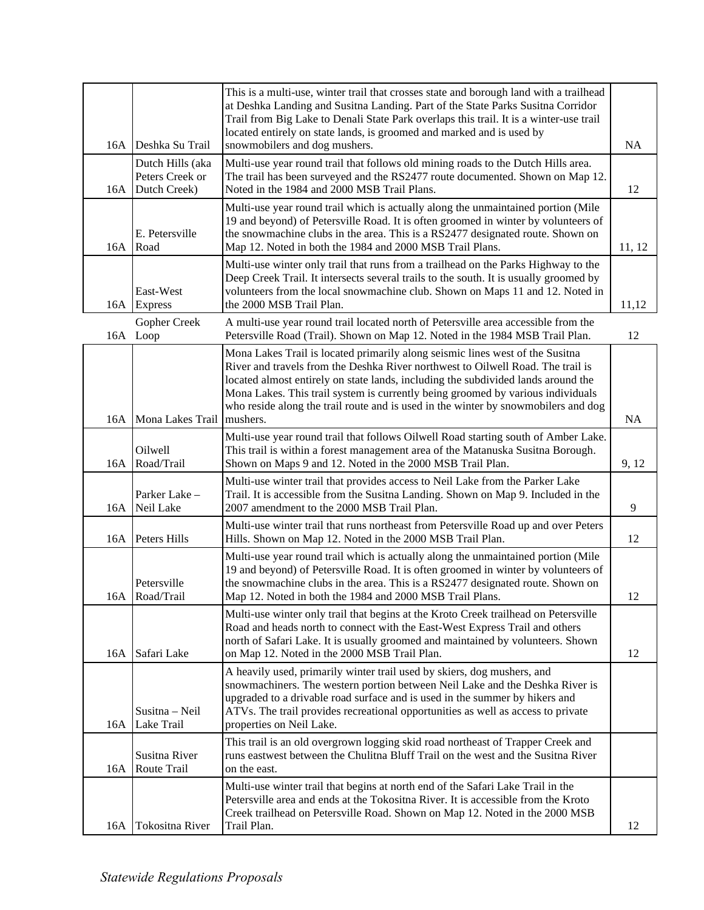| 16A | Deshka Su Trail                                     | This is a multi-use, winter trail that crosses state and borough land with a trailhead<br>at Deshka Landing and Susitna Landing. Part of the State Parks Susitna Corridor<br>Trail from Big Lake to Denali State Park overlaps this trail. It is a winter-use trail<br>located entirely on state lands, is groomed and marked and is used by<br>snowmobilers and dog mushers.                                                              | <b>NA</b> |
|-----|-----------------------------------------------------|--------------------------------------------------------------------------------------------------------------------------------------------------------------------------------------------------------------------------------------------------------------------------------------------------------------------------------------------------------------------------------------------------------------------------------------------|-----------|
| 16A | Dutch Hills (aka<br>Peters Creek or<br>Dutch Creek) | Multi-use year round trail that follows old mining roads to the Dutch Hills area.<br>The trail has been surveyed and the RS2477 route documented. Shown on Map 12.<br>Noted in the 1984 and 2000 MSB Trail Plans.                                                                                                                                                                                                                          | 12        |
| 16A | E. Petersville<br>Road                              | Multi-use year round trail which is actually along the unmaintained portion (Mile<br>19 and beyond) of Petersville Road. It is often groomed in winter by volunteers of<br>the snowmachine clubs in the area. This is a RS2477 designated route. Shown on<br>Map 12. Noted in both the 1984 and 2000 MSB Trail Plans.                                                                                                                      | 11, 12    |
| 16A | East-West<br><b>Express</b>                         | Multi-use winter only trail that runs from a trailhead on the Parks Highway to the<br>Deep Creek Trail. It intersects several trails to the south. It is usually groomed by<br>volunteers from the local snowmachine club. Shown on Maps 11 and 12. Noted in<br>the 2000 MSB Trail Plan.                                                                                                                                                   | 11,12     |
|     | Gopher Creek<br>16A Loop                            | A multi-use year round trail located north of Petersville area accessible from the<br>Petersville Road (Trail). Shown on Map 12. Noted in the 1984 MSB Trail Plan.                                                                                                                                                                                                                                                                         | 12        |
| 16A | Mona Lakes Trail                                    | Mona Lakes Trail is located primarily along seismic lines west of the Susitna<br>River and travels from the Deshka River northwest to Oilwell Road. The trail is<br>located almost entirely on state lands, including the subdivided lands around the<br>Mona Lakes. This trail system is currently being groomed by various individuals<br>who reside along the trail route and is used in the winter by snowmobilers and dog<br>mushers. | <b>NA</b> |
| 16A | Oilwell<br>Road/Trail                               | Multi-use year round trail that follows Oilwell Road starting south of Amber Lake.<br>This trail is within a forest management area of the Matanuska Susitna Borough.<br>Shown on Maps 9 and 12. Noted in the 2000 MSB Trail Plan.                                                                                                                                                                                                         | 9, 12     |
| 16A | Parker Lake -<br>Neil Lake                          | Multi-use winter trail that provides access to Neil Lake from the Parker Lake<br>Trail. It is accessible from the Susitna Landing. Shown on Map 9. Included in the<br>2007 amendment to the 2000 MSB Trail Plan.                                                                                                                                                                                                                           | 9         |
| 16A | Peters Hills                                        | Multi-use winter trail that runs northeast from Petersville Road up and over Peters<br>Hills. Shown on Map 12. Noted in the 2000 MSB Trail Plan.                                                                                                                                                                                                                                                                                           | 12        |
|     | Petersville<br>16A Road/Trail                       | Multi-use year round trail which is actually along the unmaintained portion (Mile<br>19 and beyond) of Petersville Road. It is often groomed in winter by volunteers of<br>the snowmachine clubs in the area. This is a RS2477 designated route. Shown on<br>Map 12. Noted in both the 1984 and 2000 MSB Trail Plans.                                                                                                                      | 12        |
| 16A | Safari Lake                                         | Multi-use winter only trail that begins at the Kroto Creek trailhead on Petersville<br>Road and heads north to connect with the East-West Express Trail and others<br>north of Safari Lake. It is usually groomed and maintained by volunteers. Shown<br>on Map 12. Noted in the 2000 MSB Trail Plan.                                                                                                                                      | 12        |
| 16A | Susitna - Neil<br>Lake Trail                        | A heavily used, primarily winter trail used by skiers, dog mushers, and<br>snowmachiners. The western portion between Neil Lake and the Deshka River is<br>upgraded to a drivable road surface and is used in the summer by hikers and<br>ATVs. The trail provides recreational opportunities as well as access to private<br>properties on Neil Lake.                                                                                     |           |
| 16A | Susitna River<br>Route Trail                        | This trail is an old overgrown logging skid road northeast of Trapper Creek and<br>runs eastwest between the Chulitna Bluff Trail on the west and the Susitna River<br>on the east.                                                                                                                                                                                                                                                        |           |
| 16A | Tokositna River                                     | Multi-use winter trail that begins at north end of the Safari Lake Trail in the<br>Petersville area and ends at the Tokositna River. It is accessible from the Kroto<br>Creek trailhead on Petersville Road. Shown on Map 12. Noted in the 2000 MSB<br>Trail Plan.                                                                                                                                                                         | 12        |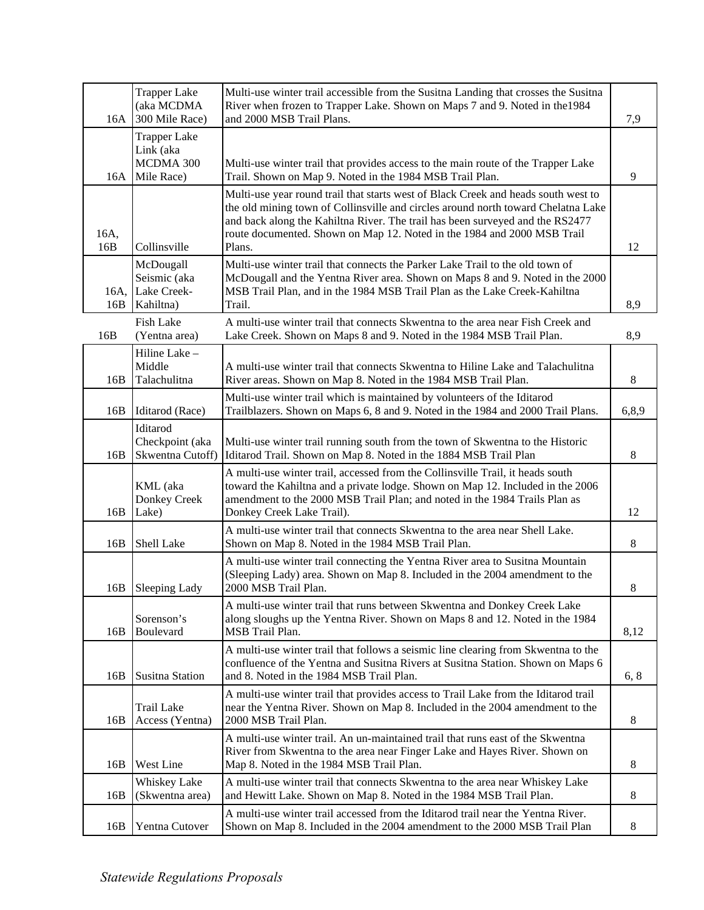| 16A         | <b>Trapper Lake</b><br>(aka MCDMA<br>300 Mile Race)         | Multi-use winter trail accessible from the Susitna Landing that crosses the Susitna<br>River when frozen to Trapper Lake. Shown on Maps 7 and 9. Noted in the 1984<br>and 2000 MSB Trail Plans.                                                                                                                                               | 7,9   |
|-------------|-------------------------------------------------------------|-----------------------------------------------------------------------------------------------------------------------------------------------------------------------------------------------------------------------------------------------------------------------------------------------------------------------------------------------|-------|
| 16A         | <b>Trapper Lake</b><br>Link (aka<br>MCDMA 300<br>Mile Race) | Multi-use winter trail that provides access to the main route of the Trapper Lake<br>Trail. Shown on Map 9. Noted in the 1984 MSB Trail Plan.                                                                                                                                                                                                 | 9     |
| 16A,<br>16B | Collinsville                                                | Multi-use year round trail that starts west of Black Creek and heads south west to<br>the old mining town of Collinsville and circles around north toward Chelatna Lake<br>and back along the Kahiltna River. The trail has been surveyed and the RS2477<br>route documented. Shown on Map 12. Noted in the 1984 and 2000 MSB Trail<br>Plans. | 12    |
| 16A,<br>16B | McDougall<br>Seismic (aka<br>Lake Creek-<br>Kahiltna)       | Multi-use winter trail that connects the Parker Lake Trail to the old town of<br>McDougall and the Yentna River area. Shown on Maps 8 and 9. Noted in the 2000<br>MSB Trail Plan, and in the 1984 MSB Trail Plan as the Lake Creek-Kahiltna<br>Trail.                                                                                         | 8,9   |
| 16B         | Fish Lake<br>(Yentna area)                                  | A multi-use winter trail that connects Skwentna to the area near Fish Creek and<br>Lake Creek. Shown on Maps 8 and 9. Noted in the 1984 MSB Trail Plan.                                                                                                                                                                                       | 8,9   |
| 16B         | Hiline Lake $-$<br>Middle<br>Talachulitna                   | A multi-use winter trail that connects Skwentna to Hiline Lake and Talachulitna<br>River areas. Shown on Map 8. Noted in the 1984 MSB Trail Plan.                                                                                                                                                                                             | 8     |
| 16B         | Iditarod (Race)                                             | Multi-use winter trail which is maintained by volunteers of the Iditarod<br>Trailblazers. Shown on Maps 6, 8 and 9. Noted in the 1984 and 2000 Trail Plans.                                                                                                                                                                                   | 6,8,9 |
| 16B         | Iditarod<br>Checkpoint (aka<br>Skwentna Cutoff)             | Multi-use winter trail running south from the town of Skwentna to the Historic<br>Iditarod Trail. Shown on Map 8. Noted in the 1884 MSB Trail Plan                                                                                                                                                                                            | 8     |
| 16B         | KML (aka<br>Donkey Creek<br>Lake)                           | A multi-use winter trail, accessed from the Collinsville Trail, it heads south<br>toward the Kahiltna and a private lodge. Shown on Map 12. Included in the 2006<br>amendment to the 2000 MSB Trail Plan; and noted in the 1984 Trails Plan as<br>Donkey Creek Lake Trail).                                                                   | 12    |
| 16B         | Shell Lake                                                  | A multi-use winter trail that connects Skwentna to the area near Shell Lake.<br>Shown on Map 8. Noted in the 1984 MSB Trail Plan.                                                                                                                                                                                                             | 8     |
| 16B         | Sleeping Lady                                               | A multi-use winter trail connecting the Yentna River area to Susitna Mountain<br>(Sleeping Lady) area. Shown on Map 8. Included in the 2004 amendment to the<br>2000 MSB Trail Plan.                                                                                                                                                          | 8     |
| 16B         | Sorenson's<br>Boulevard                                     | A multi-use winter trail that runs between Skwentna and Donkey Creek Lake<br>along sloughs up the Yentna River. Shown on Maps 8 and 12. Noted in the 1984<br>MSB Trail Plan.                                                                                                                                                                  | 8,12  |
| 16B         | Susitna Station                                             | A multi-use winter trail that follows a seismic line clearing from Skwentna to the<br>confluence of the Yentna and Susitna Rivers at Susitna Station. Shown on Maps 6<br>and 8. Noted in the 1984 MSB Trail Plan.                                                                                                                             | 6, 8  |
| 16B         | <b>Trail Lake</b><br>Access (Yentna)                        | A multi-use winter trail that provides access to Trail Lake from the Iditarod trail<br>near the Yentna River. Shown on Map 8. Included in the 2004 amendment to the<br>2000 MSB Trail Plan.                                                                                                                                                   | 8     |
| 16B         | West Line                                                   | A multi-use winter trail. An un-maintained trail that runs east of the Skwentna<br>River from Skwentna to the area near Finger Lake and Hayes River. Shown on<br>Map 8. Noted in the 1984 MSB Trail Plan.                                                                                                                                     | 8     |
| 16B         | Whiskey Lake<br>(Skwentna area)                             | A multi-use winter trail that connects Skwentna to the area near Whiskey Lake<br>and Hewitt Lake. Shown on Map 8. Noted in the 1984 MSB Trail Plan.                                                                                                                                                                                           | 8     |
| 16B         | Yentna Cutover                                              | A multi-use winter trail accessed from the Iditarod trail near the Yentna River.<br>Shown on Map 8. Included in the 2004 amendment to the 2000 MSB Trail Plan                                                                                                                                                                                 | 8     |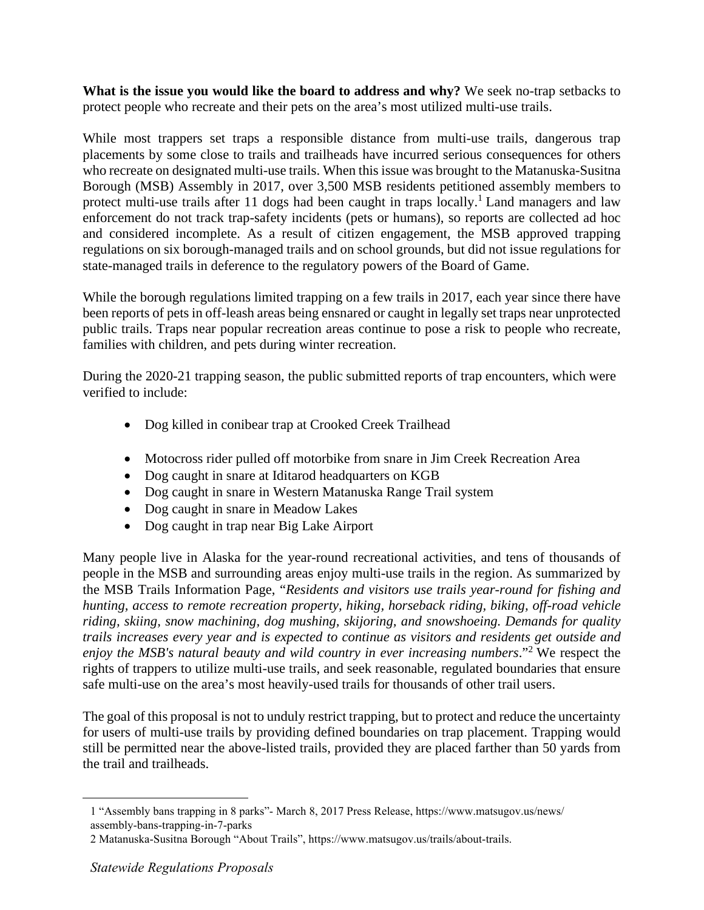**What is the issue you would like the board to address and why?** We seek no-trap setbacks to protect people who recreate and their pets on the area's most utilized multi-use trails.

While most trappers set traps a responsible distance from multi-use trails, dangerous trap placements by some close to trails and trailheads have incurred serious consequences for others who recreate on designated multi-use trails. When this issue was brought to the Matanuska-Susitna Borough (MSB) Assembly in 2017, over 3,500 MSB residents petitioned assembly members to protect multi-use trails after 11 dogs had been caught in traps locally.<sup>1</sup> Land managers and law enforcement do not track trap-safety incidents (pets or humans), so reports are collected ad hoc and considered incomplete. As a result of citizen engagement, the MSB approved trapping regulations on six borough-managed trails and on school grounds, but did not issue regulations for state-managed trails in deference to the regulatory powers of the Board of Game.

While the borough regulations limited trapping on a few trails in 2017, each year since there have been reports of pets in off-leash areas being ensnared or caught in legally set traps near unprotected public trails. Traps near popular recreation areas continue to pose a risk to people who recreate, families with children, and pets during winter recreation.

During the 2020-21 trapping season, the public submitted reports of trap encounters, which were verified to include:

- Dog killed in conibear trap at Crooked Creek Trailhead
- Motocross rider pulled off motorbike from snare in Jim Creek Recreation Area
- Dog caught in snare at Iditarod headquarters on KGB
- Dog caught in snare in Western Matanuska Range Trail system
- Dog caught in snare in Meadow Lakes
- Dog caught in trap near Big Lake Airport

Many people live in Alaska for the year-round recreational activities, and tens of thousands of people in the MSB and surrounding areas enjoy multi-use trails in the region. As summarized by the MSB Trails Information Page, "*Residents and visitors use trails year-round for fishing and hunting, access to remote recreation property, hiking, horseback riding, biking, off-road vehicle riding, skiing, snow machining, dog mushing, skijoring, and snowshoeing. Demands for quality trails increases every year and is expected to continue as visitors and residents get outside and enjoy the MSB's natural beauty and wild country in ever increasing numbers*."2 We respect the rights of trappers to utilize multi-use trails, and seek reasonable, regulated boundaries that ensure safe multi-use on the area's most heavily-used trails for thousands of other trail users.

The goal of this proposal is not to unduly restrict trapping, but to protect and reduce the uncertainty for users of multi-use trails by providing defined boundaries on trap placement. Trapping would still be permitted near the above-listed trails, provided they are placed farther than 50 yards from the trail and trailheads.

<sup>1 &</sup>quot;Assembly bans trapping in 8 parks"- March 8, 2017 Press Release, <https://www.matsugov.us/news>/ assembly-bans-trapping-in-7-parks

<span id="page-16-0"></span><sup>2</sup> Matanuska-Susitna Borough "About Trails", [https://www.matsugov.us/trails/about-trails.](https://www.matsugov.us/trails/about-trails)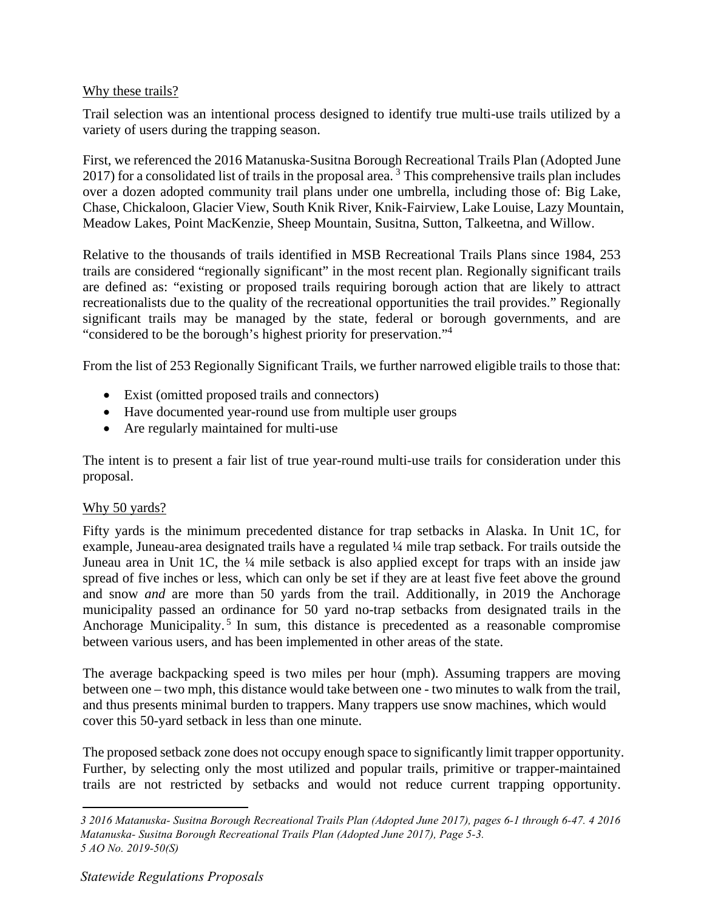## Why these trails?

Trail selection was an intentional process designed to identify true multi-use trails utilized by a variety of users during the trapping season.

First, we referenced the 2016 Matanuska-Susitna Borough Recreational Trails Plan (Adopted June 2017) for a consolidated list of trails in the proposal area.<sup>3</sup> This comprehensive trails plan includes over a dozen adopted community trail plans under one umbrella, including those of: Big Lake, Chase, Chickaloon, Glacier View, South Knik River, Knik-Fairview, Lake Louise, Lazy Mountain, Meadow Lakes, Point MacKenzie, Sheep Mountain, Susitna, Sutton, Talkeetna, and Willow.

Relative to the thousands of trails identified in MSB Recreational Trails Plans since 1984, 253 trails are considered "regionally significant" in the most recent plan. Regionally significant trails are defined as: "existing or proposed trails requiring borough action that are likely to attract recreationalists due to the quality of the recreational opportunities the trail provides." Regionally significant trails may be managed by the state, federal or borough governments, and are "considered to be the borough's highest priority for preservation."<sup>4</sup>

From the list of 253 Regionally Significant Trails, we further narrowed eligible trails to those that:

- Exist (omitted proposed trails and connectors)
- Have documented year-round use from multiple user groups
- Are regularly maintained for multi-use

The intent is to present a fair list of true year-round multi-use trails for consideration under this proposal.

## Why 50 yards?

Fifty yards is the minimum precedented distance for trap setbacks in Alaska. In Unit 1C, for example, Juneau-area designated trails have a regulated ¼ mile trap setback. For trails outside the Juneau area in Unit 1C, the ¼ mile setback is also applied except for traps with an inside jaw spread of five inches or less, which can only be set if they are at least five feet above the ground and snow *and* are more than 50 yards from the trail. Additionally, in 2019 the Anchorage municipality passed an ordinance for 50 yard no-trap setbacks from designated trails in the Anchorage Municipality.<sup>5</sup> In sum, this distance is precedented as a reasonable compromise between various users, and has been implemented in other areas of the state.

The average backpacking speed is two miles per hour (mph). Assuming trappers are moving between one – two mph, this distance would take between one - two minutes to walk from the trail, and thus presents minimal burden to trappers. Many trappers use snow machines, which would cover this 50-yard setback in less than one minute.

The proposed setback zone does not occupy enough space to significantly limit trapper opportunity. Further, by selecting only the most utilized and popular trails, primitive or trapper-maintained trails are not restricted by setbacks and would not reduce current trapping opportunity.

*<sup>3 2016</sup> Matanuska- Susitna Borough Recreational Trails Plan (Adopted June 2017), pages 6-1 through 6-47. 4 2016 Matanuska- Susitna Borough Recreational Trails Plan (Adopted June 2017), Page 5-3. 5 AO No. 2019-50(S)*